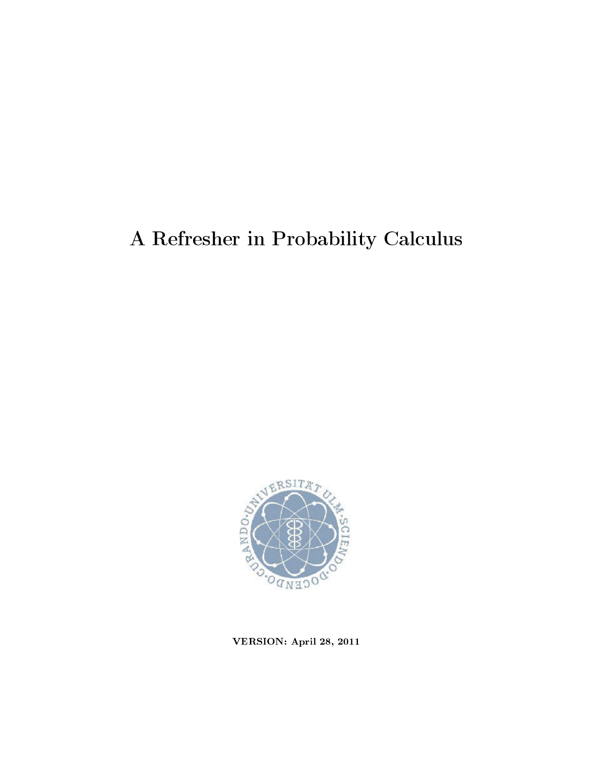# A Refresher in Probability Calculus



VERSION: April 28, 2011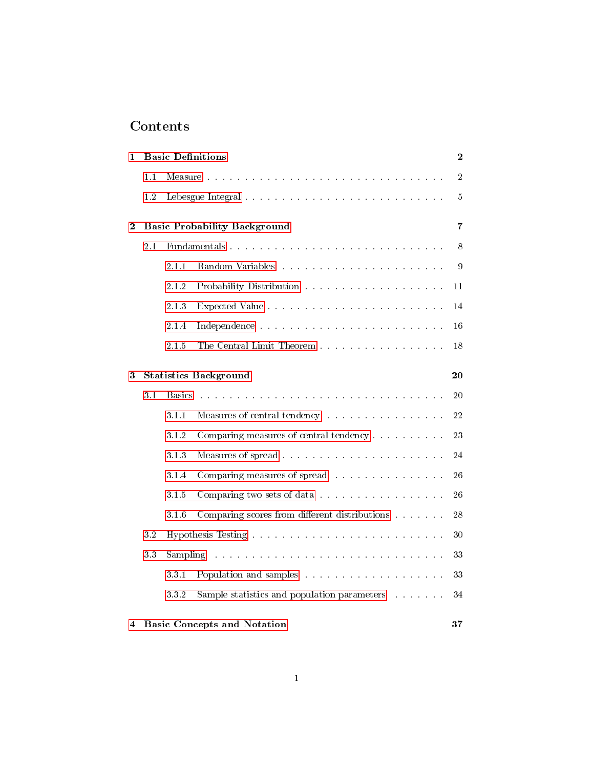## Contents

| 1                  |     | <b>Basic Definitions</b><br>$\boldsymbol{2}$                                                                              |                                                                          |                |  |  |  |
|--------------------|-----|---------------------------------------------------------------------------------------------------------------------------|--------------------------------------------------------------------------|----------------|--|--|--|
|                    | 1.1 |                                                                                                                           |                                                                          | $\sqrt{2}$     |  |  |  |
|                    | 1.2 |                                                                                                                           |                                                                          | $\overline{5}$ |  |  |  |
| $\bf{2}$           |     |                                                                                                                           | <b>Basic Probability Background</b>                                      | 7              |  |  |  |
|                    | 2.1 |                                                                                                                           |                                                                          | 8              |  |  |  |
|                    |     | 2.1.1                                                                                                                     |                                                                          | 9              |  |  |  |
|                    |     | 2.1.2                                                                                                                     |                                                                          | 11             |  |  |  |
|                    |     | 2.1.3                                                                                                                     |                                                                          | 14             |  |  |  |
|                    |     | 2.1.4                                                                                                                     |                                                                          | 16             |  |  |  |
|                    |     | 2.1.5                                                                                                                     | The Central Limit Theorem                                                | 18             |  |  |  |
| 3                  |     |                                                                                                                           | <b>Statistics Background</b>                                             | 20             |  |  |  |
|                    | 3.1 | <b>Basics</b>                                                                                                             |                                                                          | 20             |  |  |  |
|                    |     | 3.1.1                                                                                                                     | Measures of central tendency                                             | 22             |  |  |  |
|                    |     | 3.1.2                                                                                                                     | Comparing measures of central tendency                                   | 23             |  |  |  |
|                    |     | 3.1.3                                                                                                                     |                                                                          | 24             |  |  |  |
|                    |     | 3.1.4                                                                                                                     | Comparing measures of spread                                             | 26             |  |  |  |
|                    |     | 3.1.5                                                                                                                     | Comparing two sets of data                                               | 26             |  |  |  |
|                    |     | 3.1.6                                                                                                                     | Comparing scores from different distributions $.\,.\,.\,.\,.\,.\,.\,.\,$ | 28             |  |  |  |
|                    | 3.2 |                                                                                                                           |                                                                          | 30             |  |  |  |
|                    | 33  | Sampling<br>والمتعاونة والمتعاونة والمتعاونة والمتعاونة والمتعاونة والمتعاونة والمتعاونة والمتعاونة والمتعاونة والمتعاونة |                                                                          |                |  |  |  |
|                    |     | 331                                                                                                                       |                                                                          | 33             |  |  |  |
|                    |     | 332                                                                                                                       | Sample statistics and population parameters                              | 34             |  |  |  |
| $\overline{\bf 4}$ |     |                                                                                                                           | <b>Basic Concepts and Notation</b>                                       | 37             |  |  |  |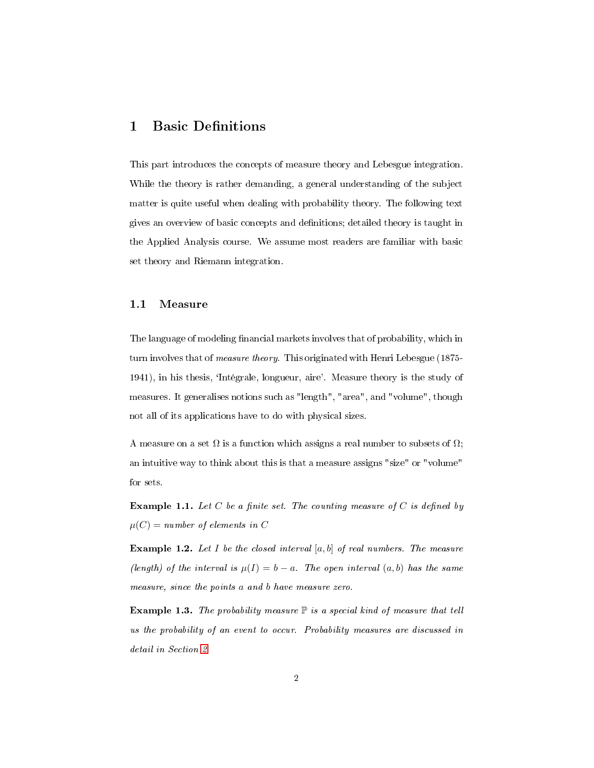## <span id="page-2-0"></span>1 Basic Definitions

This part introduces the concepts of measure theory and Lebesgue integration. While the theory is rather demanding, a general understanding of the subject matter is quite useful when dealing with probability theory. The following text gives an overview of basic concepts and denitions; detailed theory is taught in the Applied Analysis course. We assume most readers are familiar with basic set theory and Riemann integration.

#### <span id="page-2-1"></span>1.1 Measure

The language of modeling financial markets involves that of probability, which in turn involves that of measure theory. This originated with Henri Lebesgue (1875- 1941), in his thesis, `Intégrale, longueur, aire'. Measure theory is the study of measures. It generalises notions such as "length", "area", and "volume", though not all of its applications have to do with physical sizes.

A measure on a set  $\Omega$  is a function which assigns a real number to subsets of  $\Omega$ ; an intuitive way to think about this is that a measure assigns "size" or "volume" for sets.

**Example 1.1.** Let C be a finite set. The counting measure of C is defined by  $\mu(C) = number of elements in C$ 

**Example 1.2.** Let I be the closed interval  $[a, b]$  of real numbers. The measure (length) of the interval is  $\mu(I) = b - a$ . The open interval  $(a, b)$  has the same measure, since the points a and b have measure zero.

**Example 1.3.** The probability measure  $\mathbb P$  is a special kind of measure that tell us the probability of an event to occur. Probability measures are discussed in detail in Section [2.](#page-7-0)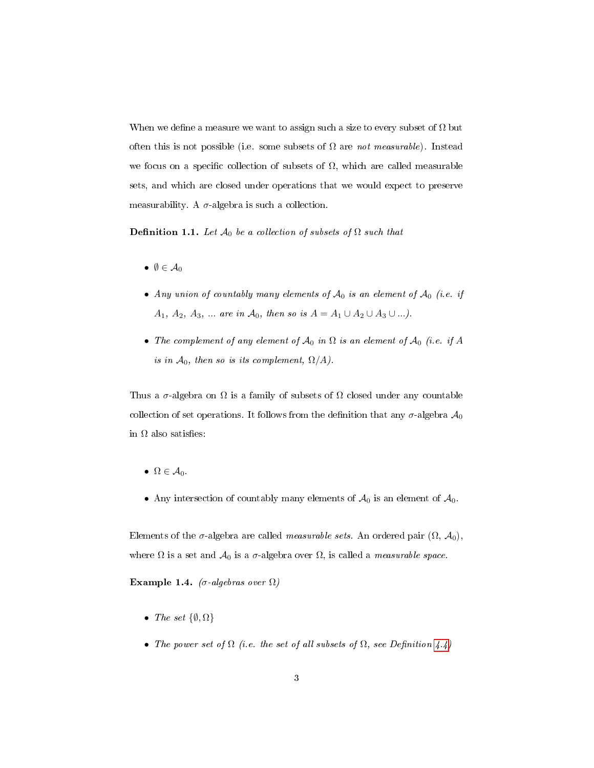<span id="page-3-0"></span>When we define a measure we want to assign such a size to every subset of  $\Omega$  but often this is not possible (i.e. some subsets of  $\Omega$  are not measurable). Instead we focus on a specific collection of subsets of  $\Omega$ , which are called measurable sets, and which are closed under operations that we would expect to preserve measurability. A  $\sigma$ -algebra is such a collection.

**Definition 1.1.** Let  $\mathcal{A}_0$  be a collection of subsets of  $\Omega$  such that

- $\emptyset \in \mathcal{A}_0$
- Any union of countably many elements of  $\mathcal{A}_0$  is an element of  $\mathcal{A}_0$  (i.e. if A<sub>1</sub>, A<sub>2</sub>, A<sub>3</sub>, ... are in A<sub>0</sub>, then so is  $A = A_1 \cup A_2 \cup A_3 \cup ...$ ).
- The complement of any element of  $\mathcal{A}_0$  in  $\Omega$  is an element of  $\mathcal{A}_0$  (i.e. if A is in  $\mathcal{A}_0$ , then so is its complement,  $\Omega/A$ ).

Thus a  $\sigma$ -algebra on  $\Omega$  is a family of subsets of  $\Omega$  closed under any countable collection of set operations. It follows from the definition that any  $\sigma$ -algebra  $\mathcal{A}_0$ in  $\Omega$  also satisfies:

- $\bullet \Omega \in \mathcal{A}_0$ .
- Any intersection of countably many elements of  $\mathcal{A}_0$  is an element of  $\mathcal{A}_0$ .

Elements of the  $\sigma$ -algebra are called *measurable sets*. An ordered pair  $(\Omega, \mathcal{A}_0)$ , where  $\Omega$  is a set and  $\mathcal{A}_0$  is a  $\sigma$ -algebra over  $\Omega$ , is called a *measurable space*.

Example 1.4. (σ-algebras over  $\Omega$ )

- The set  $\{\emptyset, \Omega\}$
- The power set of  $\Omega$  (i.e. the set of all subsets of  $\Omega$ , see Definition [4.4\)](#page-38-0)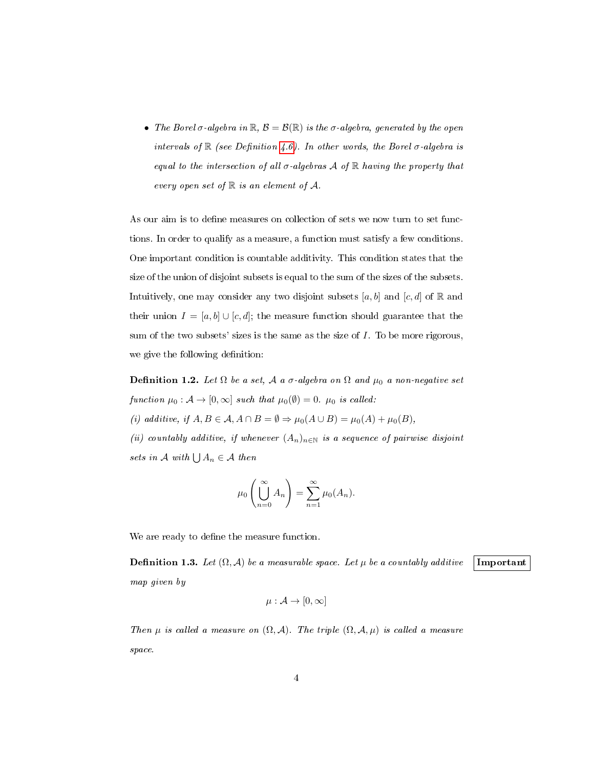• The Borel  $\sigma$ -algebra in  $\mathbb{R}, \mathcal{B} = \mathcal{B}(\mathbb{R})$  is the  $\sigma$ -algebra, generated by the open intervals of  $\mathbb R$  (see Definition [4.6\)](#page-39-0). In other words, the Borel  $\sigma$ -algebra is equal to the intersection of all  $\sigma$ -algebras A of R having the property that every open set of  $\mathbb R$  is an element of  $\mathcal A$ .

As our aim is to define measures on collection of sets we now turn to set functions. In order to qualify as a measure, a function must satisfy a few conditions. One important condition is countable additivity. This condition states that the size of the union of disjoint subsets is equal to the sum of the sizes of the subsets. Intuitively, one may consider any two disjoint subsets [a, b] and [c, d] of R and their union  $I = [a, b] \cup [c, d]$ ; the measure function should guarantee that the sum of the two subsets' sizes is the same as the size of I. To be more rigorous, we give the following definition:

<span id="page-4-0"></span>Definition 1.2. Let  $\Omega$  be a set,  $\mathcal A$  a  $\sigma$ -algebra on  $\Omega$  and  $\mu_0$  a non-negative set function  $\mu_0 : A \to [0, \infty]$  such that  $\mu_0(\emptyset) = 0$ .  $\mu_0$  is called: (i) additive, if  $A, B \in \mathcal{A}, A \cap B = \emptyset \Rightarrow \mu_0(A \cup B) = \mu_0(A) + \mu_0(B)$ ,

(ii) countably additive, if whenever  $(A_n)_{n\in\mathbb{N}}$  is a sequence of pairwise disjoint sets in A with  $\bigcup A_n \in \mathcal{A}$  then

$$
\mu_0\left(\bigcup_{n=0}^{\infty} A_n\right) = \sum_{n=1}^{\infty} \mu_0(A_n).
$$

We are ready to define the measure function.

<span id="page-4-1"></span>**Definition 1.3.** Let  $(\Omega, \mathcal{A})$  be a measurable space. Let  $\mu$  be a countably additive **Important** map given by

$$
\mu: \mathcal{A} \rightarrow [0,\infty]
$$

Then  $\mu$  is called a measure on  $(\Omega, \mathcal{A})$ . The triple  $(\Omega, \mathcal{A}, \mu)$  is called a measure space.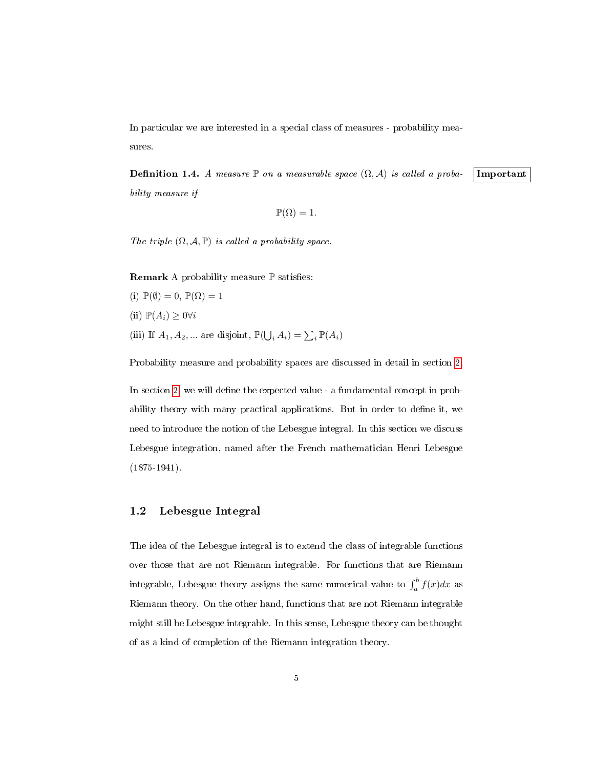<span id="page-5-2"></span>In particular we are interested in a special class of measures - probability measures.

<span id="page-5-1"></span>**Definition 1.4.** A measure P on a measurable space  $(\Omega, \mathcal{A})$  is called a proba- Important bility measure if

$$
\mathbb{P}(\Omega) = 1.
$$

The triple  $(\Omega, \mathcal{A}, \mathbb{P})$  is called a probability space.

**Remark** A probability measure  $\mathbb P$  satisfies:

(i)  $\mathbb{P}(\emptyset) = 0$ ,  $\mathbb{P}(\Omega) = 1$ (ii)  $\mathbb{P}(A_i) \geq 0 \forall i$ (iii) If  $A_1, A_2, \dots$  are disjoint,  $\mathbb{P}(\bigcup_i A_i) = \sum_i \mathbb{P}(A_i)$ 

Probability measure and probability spaces are discussed in detail in section [2.](#page-7-0)

In section [2,](#page-7-0) we will define the expected value - a fundamental concept in probability theory with many practical applications. But in order to define it, we need to introduce the notion of the Lebesgue integral. In this section we discuss Lebesgue integration, named after the French mathematician Henri Lebesgue (1875-1941).

#### <span id="page-5-0"></span>1.2 Lebesgue Integral

The idea of the Lebesgue integral is to extend the class of integrable functions over those that are not Riemann integrable. For functions that are Riemann integrable, Lebesgue theory assigns the same numerical value to  $\int_a^b f(x)dx$  as Riemann theory. On the other hand, functions that are not Riemann integrable might still be Lebesgue integrable. In this sense, Lebesgue theory can be thought of as a kind of completion of the Riemann integration theory.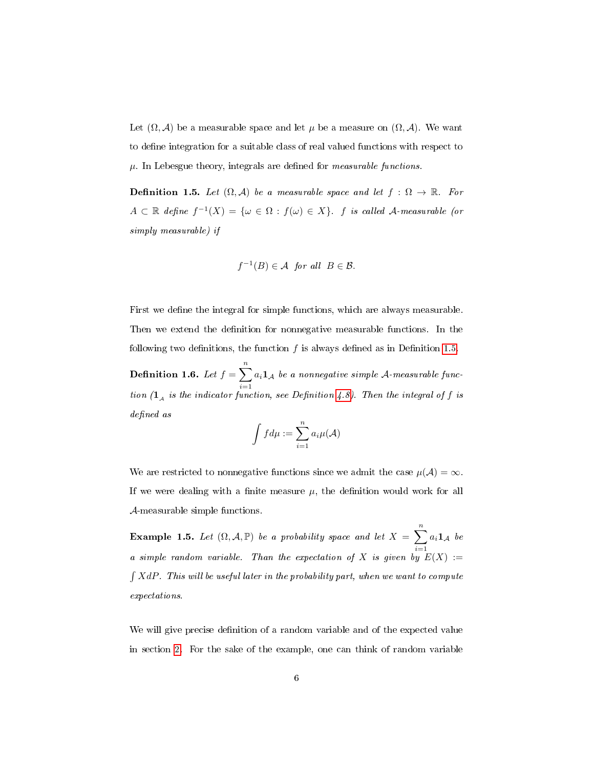<span id="page-6-1"></span>Let  $(\Omega, \mathcal{A})$  be a measurable space and let  $\mu$  be a measure on  $(\Omega, \mathcal{A})$ . We want to define integration for a suitable class of real valued functions with respect to  $\mu$ . In Lebesgue theory, integrals are defined for *measurable functions*.

<span id="page-6-0"></span>**Definition 1.5.** Let  $(\Omega, \mathcal{A})$  be a measurable space and let  $f : \Omega \to \mathbb{R}$ . For  $A \subset \mathbb{R}$  define  $f^{-1}(X) = \{ \omega \in \Omega : f(\omega) \in X \}$ . f is called A-measurable (or simply measurable) if

$$
f^{-1}(B) \in \mathcal{A} \text{ for all } B \in \mathcal{B}.
$$

First we define the integral for simple functions, which are always measurable. Then we extend the definition for nonnegative measurable functions. In the following two definitions, the function  $f$  is always defined as in Definition [1.5.](#page-6-0)

**Definition 1.6.** Let  $f = \sum_{n=1}^{n}$  $i=1$  $a_i\mathbf{1}_\mathcal{A}$  be a nonnegative simple  $\mathcal{A}\text{-}measurable$  function  $(1_A$  is the indicator function, see Definition [4.8\)](#page-39-1). Then the integral of f is defined as

$$
\int f d\mu := \sum_{i=1}^n a_i \mu(\mathcal{A})
$$

We are restricted to nonnegative functions since we admit the case  $\mu(\mathcal{A}) = \infty$ . If we were dealing with a finite measure  $\mu$ , the definition would work for all A-measurable simple functions.

**Example 1.5.** Let  $(\Omega, \mathcal{A}, \mathbb{P})$  be a probability space and let  $X = \sum_{n=1}^{\infty}$  $i=1$  $a_i \mathbf{1}_{\mathcal{A}}$  be a simple random variable. Than the expectation of X is given by  $E(X) :=$  $\int XdP$ . This will be useful later in the probability part, when we want to compute expectations.

We will give precise definition of a random variable and of the expected value in section [2.](#page-7-0) For the sake of the example, one can think of random variable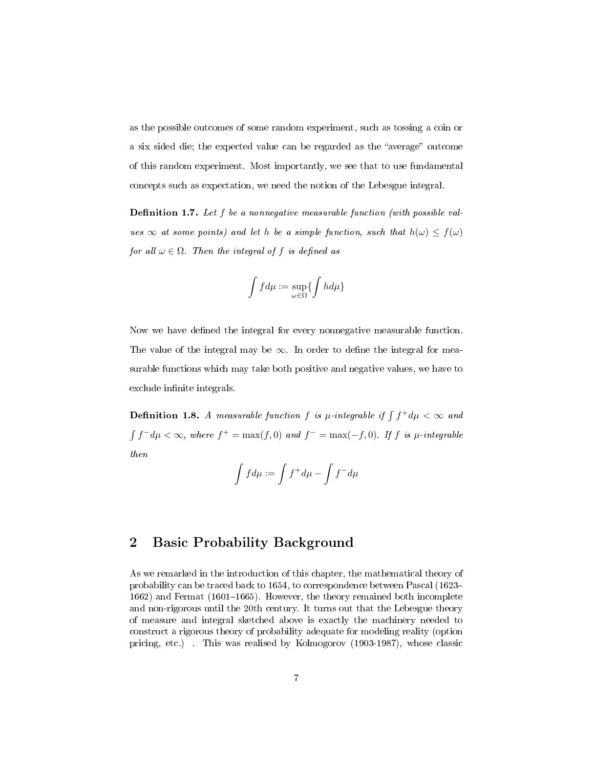as the possible outcomes of some random experiment, such as tossing a coin or a six sided die; the expected value can be regarded as the "average" outcome of this random experiment. Most importantly, we see that to use fundamental concepts such as expectation, we need the notion of the Lebesgue integral.

**Definition 1.7.** Let  $f$  be a nonnegative measurable function (with possible values  $\infty$  at some points) and let h be a simple function, such that  $h(\omega) \leq f(\omega)$ for all  $\omega \in \Omega$ . Then the integral of f is defined as

$$
\int f d\mu := \sup_{\omega \in \Omega} \{ \int h d\mu \}
$$

Now we have defined the integral for every nonnegative measurable function. The value of the integral may be  $\infty$ . In order to define the integral for measurable functions which may take both positive and negative values, we have to exclude infinite integrals.

**Definition 1.8.** A measurable function f is  $\mu$ -integrable if  $\int f^{+}d\mu < \infty$  and  $\int f^- d\mu < \infty$ , where  $f^+ = \max(f, 0)$  and  $f^- = \max(-f, 0)$ . If f is  $\mu$ -integrable then

$$
\int f d\mu := \int f^+ d\mu - \int f^- d\mu
$$

## <span id="page-7-0"></span>2 Basic Probability Background

As we remarked in the introduction of this chapter, the mathematical theory of probability can be traced back to 1654, to correspondence between Pascal (1623 1662) and Fermat  $(1601-1665)$ . However, the theory remained both incomplete and non-rigorous until the 20th century. It turns out that the Lebesgue theory of measure and integral sketched above is exactly the machinery needed to construct a rigorous theory of probability adequate for modeling reality (option pricing, etc.) . This was realised by Kolmogorov (1903-1987), whose classic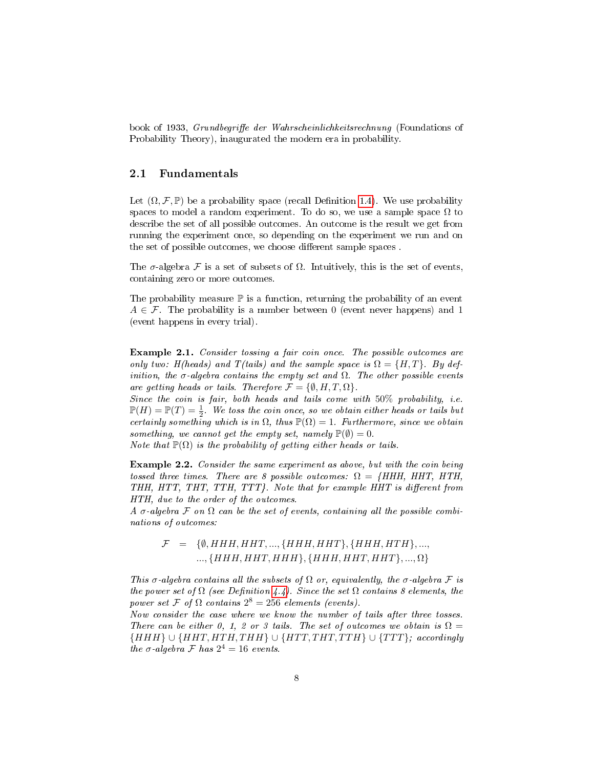<span id="page-8-1"></span>book of 1933, *Grundbegriffe der Wahrscheinlichkeitsrechnung* (Foundations of Probability Theory), inaugurated the modern era in probability.

#### <span id="page-8-0"></span>2.1 Fundamentals

Let  $(\Omega, \mathcal{F}, \mathbb{P})$  be a probability space (recall Definition [1.4\)](#page-5-1). We use probability spaces to model a random experiment. To do so, we use a sample space  $\Omega$  to describe the set of all possible outcomes. An outcome is the result we get from running the experiment once, so depending on the experiment we run and on the set of possible outcomes, we choose different sample spaces.

The  $\sigma$ -algebra F is a set of subsets of  $\Omega$ . Intuitively, this is the set of events, containing zero or more outcomes.

The probability measure  $\mathbb P$  is a function, returning the probability of an event  $A \in \mathcal{F}$ . The probability is a number between 0 (event never happens) and 1 (event happens in every trial).

Example 2.1. Consider tossing a fair coin once. The possible outcomes are only two: H(heads) and T(tails) and the sample space is  $\Omega = \{H, T\}$ . By definition, the σ-algebra contains the empty set and  $\Omega$ . The other possible events are getting heads or tails. Therefore  $\mathcal{F} = \{\emptyset, H, T, \Omega\}.$ 

Since the coin is fair, both heads and tails come with 50% probability, i.e.  $\mathbb{P}(H) = \mathbb{P}(T) = \frac{1}{2}$ . We toss the coin once, so we obtain either heads or tails but certainly something which is in  $\Omega$ , thus  $\mathbb{P}(\Omega) = 1$ . Furthermore, since we obtain something, we cannot get the empty set, namely  $\mathbb{P}(\emptyset) = 0$ .

Note that  $\mathbb{P}(\Omega)$  is the probability of getting either heads or tails.

Example 2.2. Consider the same experiment as above, but with the coin being tossed three times. There are 8 possible outcomes:  $\Omega = \{HHH, HHT, HTH,$ THH,  $HTT$ ,  $THT$ ,  $TTH$ ,  $TTT$ }. Note that for example  $HHT$  is different from HTH, due to the order of the outcomes.

A  $\sigma$ -algebra  $\mathcal F$  on  $\Omega$  can be the set of events, containing all the possible combinations of outcomes:

## $\mathcal{F} = \{ \emptyset, HHH, HHT, ..., \{HHH, HHT\}, \{HHH, HTH\}, ..., \}$ ...,  $\{HHH, HHT, HHH\}, \{HHH, HHT, HHT\},..., \Omega\}$

This  $\sigma$ -algebra contains all the subsets of  $\Omega$  or, equivalently, the  $\sigma$ -algebra  $\mathcal F$  is the power set of  $\Omega$  (see Definition [4.4\)](#page-38-0). Since the set  $\Omega$  contains 8 elements, the power set F of  $\Omega$  contains  $2^8 = 256$  elements (events).

Now consider the case where we know the number of tails after three tosses. There can be either 0, 1, 2 or 3 tails. The set of outcomes we obtain is  $\Omega =$  ${HHH} \cup {HHT, HTH, THH} \cup {HTT, THT, TTH} \cup {TTT};$  accordingly the  $\sigma$ -algebra  $\mathcal F$  has  $2^4 = 16$  events.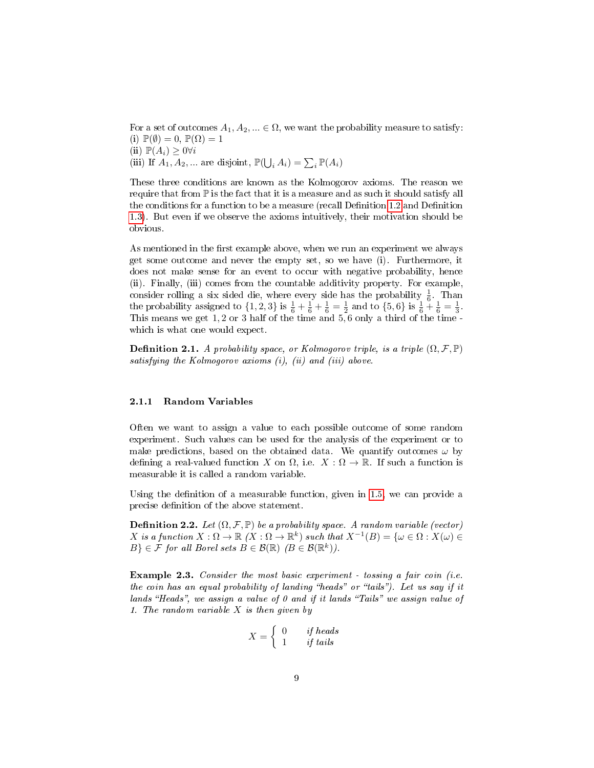<span id="page-9-2"></span>For a set of outcomes  $A_1, A_2, ... \in \Omega$ , we want the probability measure to satisfy: (i)  $\mathbb{P}(\emptyset) = 0$ ,  $\mathbb{P}(\Omega) = 1$ (ii)  $\mathbb{P}(A_i) \geq 0 \forall i$ (iii) If  $A_1, A_2, \dots$  are disjoint,  $\mathbb{P}(\bigcup_i A_i) = \sum_i \mathbb{P}(A_i)$ 

These three conditions are known as the Kolmogorov axioms. The reason we require that from  $\mathbb P$  is the fact that it is a measure and as such it should satisfy all the conditions for a function to be a measure (recall Definition  $1.2$  and Definition [1.3\)](#page-4-1). But even if we observe the axioms intuitively, their motivation should be obvious.

As mentioned in the first example above, when we run an experiment we always get some outcome and never the empty set, so we have (i). Furthermore, it does not make sense for an event to occur with negative probability, hence (ii). Finally, (iii) comes from the countable additivity property. For example, consider rolling a six sided die, where every side has the probability  $\frac{1}{6}$ . Than the probability assigned to  $\{1, 2, 3\}$  is  $\frac{1}{6} + \frac{1}{6} + \frac{1}{6} = \frac{1}{2}$  and to  $\{5, 6\}$  is  $\frac{1}{6} + \frac{1}{6} = \frac{1}{3}$ . This means we get 1, 2 or 3 half of the time and 5, 6 only a third of the time which is what one would expect.

**Definition 2.1.** A probability space, or Kolmogorov triple, is a triple  $(\Omega, \mathcal{F}, \mathbb{P})$ satisfying the Kolmogorov axioms (i), (ii) and (iii) above.

#### <span id="page-9-0"></span>2.1.1 Random Variables

Often we want to assign a value to each possible outcome of some random experiment. Such values can be used for the analysis of the experiment or to make predictions, based on the obtained data. We quantify outcomes  $\omega$  by defining a real-valued function X on  $\Omega$ , i.e.  $X : \Omega \to \mathbb{R}$ . If such a function is measurable it is called a random variable.

Using the definition of a measurable function, given in  $1.5$ , we can provide a precise definition of the above statement.

**Definition 2.2.** Let  $(\Omega, \mathcal{F}, \mathbb{P})$  be a probability space. A random variable (vector)  $X$  is a function  $X:\Omega\to\mathbb{R}$   $(X:\Omega\to\mathbb{R}^k)$  such that  $X^{-1}(B)=\{\omega\in\Omega:X(\omega)\in$  $B\} \in \mathcal{F}$  for all Borel sets  $B \in \mathcal{B}(\mathbb{R})$   $(B \in \mathcal{B}(\mathbb{R}^k))$ .

<span id="page-9-1"></span>**Example 2.3.** Consider the most basic experiment - tossing a fair coin (i.e. the coin has an equal probability of landing "heads" or "tails"). Let us say if it lands "Heads", we assign a value of  $\theta$  and if it lands "Tails" we assign value of 1. The random variable  $X$  is then given by

$$
X = \left\{ \begin{array}{ll} 0 & \textit{if heads} \\ 1 & \textit{if tails} \end{array} \right.
$$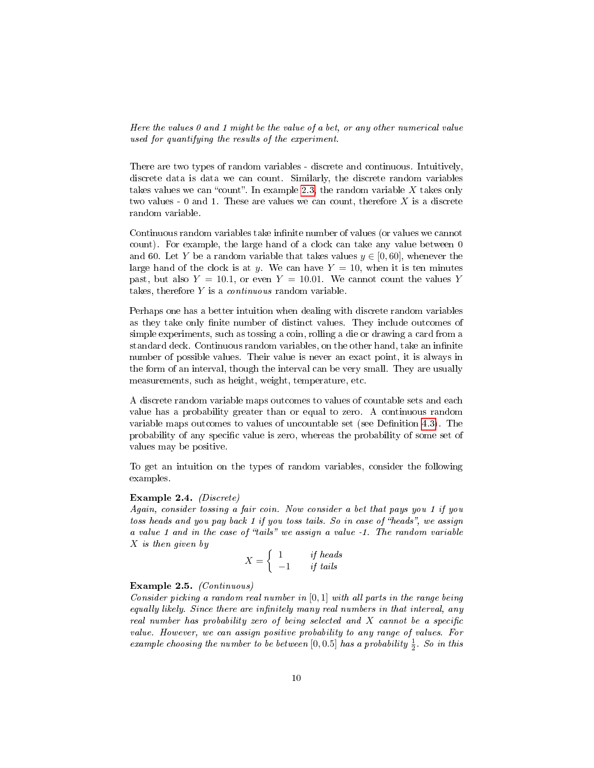Here the values 0 and 1 might be the value of a bet, or any other numerical value used for quantifying the results of the experiment.

There are two types of random variables - discrete and continuous. Intuitively, discrete data is data we can count. Similarly, the discrete random variables takes values we can "count". In example [2.3,](#page-9-1) the random variable  $X$  takes only two values - 0 and 1. These are values we can count, therefore  $X$  is a discrete random variable.

Continuous random variables take infinite number of values (or values we cannot count). For example, the large hand of a clock can take any value between 0 and 60. Let Y be a random variable that takes values  $y \in [0, 60]$ , whenever the large hand of the clock is at y. We can have  $Y = 10$ , when it is ten minutes past, but also  $Y = 10.1$ , or even  $Y = 10.01$ . We cannot count the values Y takes, therefore  $Y$  is a *continuous* random variable.

Perhaps one has a better intuition when dealing with discrete random variables as they take only finite number of distinct values. They include outcomes of simple experiments, such as tossing a coin, rolling a die or drawing a card from a standard deck. Continuous random variables, on the other hand, take an infinite number of possible values. Their value is never an exact point, it is always in the form of an interval, though the interval can be very small. They are usually measurements, such as height, weight, temperature, etc.

A discrete random variable maps outcomes to values of countable sets and each value has a probability greater than or equal to zero. A continuous random variable maps outcomes to values of uncountable set (see Definition [4.3\)](#page-37-1). The probability of any specific value is zero, whereas the probability of some set of values may be positive.

To get an intuition on the types of random variables, consider the following examples.

#### Example 2.4. (Discrete)

Again, consider tossing a fair coin. Now consider a bet that pays you 1 if you toss heads and you pay back 1 if you toss tails. So in case of "heads", we assign a value 1 and in the case of "tails" we assign a value  $-1$ . The random variable X is then given by

$$
X = \left\{ \begin{array}{ll} 1 & \text{if heads} \\ -1 & \text{if tails} \end{array} \right.
$$

#### Example 2.5. (Continuous)

Consider picking a random real number in [0, 1] with all parts in the range being equally likely. Since there are infinitely many real numbers in that interval, any real number has probability zero of being selected and  $X$  cannot be a specific value. However, we can assign positive probability to any range of values. For example choosing the number to be between  $[0, 0.5]$  has a probability  $\frac{1}{2}$ . So in this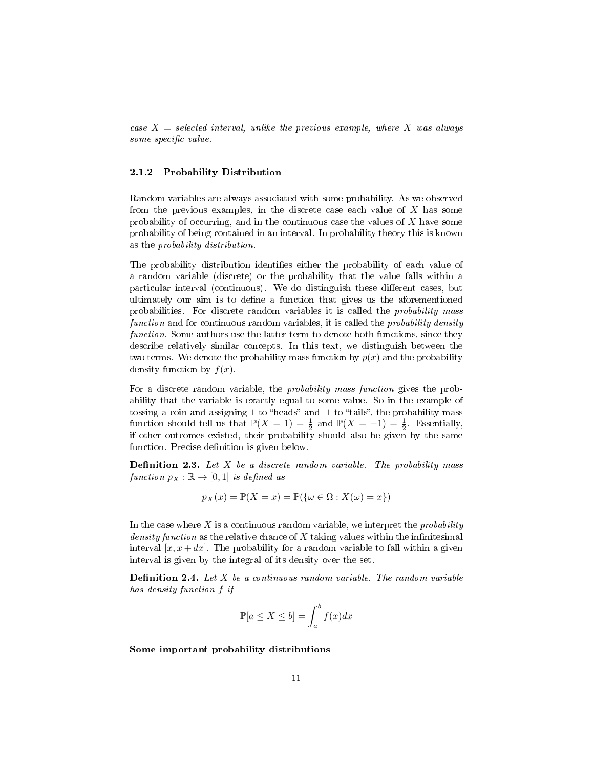<span id="page-11-1"></span>case  $X = selected$  interval, unlike the previous example, where X was always some specific value.

#### <span id="page-11-0"></span>2.1.2 Probability Distribution

Random variables are always associated with some probability. As we observed from the previous examples, in the discrete case each value of  $X$  has some probability of occurring, and in the continuous case the values of  $X$  have some probability of being contained in an interval. In probability theory this is known as the probability distribution.

The probability distribution identifies either the probability of each value of a random variable (discrete) or the probability that the value falls within a particular interval (continuous). We do distinguish these different cases, but ultimately our aim is to define a function that gives us the aforementioned probabilities. For discrete random variables it is called the probability mass function and for continuous random variables, it is called the *probability density* function. Some authors use the latter term to denote both functions, since they describe relatively similar concepts. In this text, we distinguish between the two terms. We denote the probability mass function by  $p(x)$  and the probability density function by  $f(x)$ .

For a discrete random variable, the *probability mass function* gives the probability that the variable is exactly equal to some value. So in the example of tossing a coin and assigning 1 to "heads" and  $-1$  to "tails", the probability mass function should tell us that  $\mathbb{P}(X = 1) = \frac{1}{2}$  and  $\mathbb{P}(X = -1) = \frac{1}{2}$ . Essentially, if other outcomes existed, their probability should also be given by the same function. Precise definition is given below.

**Definition 2.3.** Let  $X$  be a discrete random variable. The probability mass function  $p_X : \mathbb{R} \to [0,1]$  is defined as

$$
p_X(x) = \mathbb{P}(X = x) = \mathbb{P}(\{\omega \in \Omega : X(\omega) = x\})
$$

In the case where  $X$  is a continuous random variable, we interpret the *probability* density function as the relative chance of  $X$  taking values within the infinitesimal interval  $[x, x + dx]$ . The probability for a random variable to fall within a given interval is given by the integral of its density over the set.

**Definition 2.4.** Let  $X$  be a continuous random variable. The random variable has density function f if

$$
\mathbb{P}[a \le X \le b] = \int_{a}^{b} f(x)dx
$$

Some important probability distributions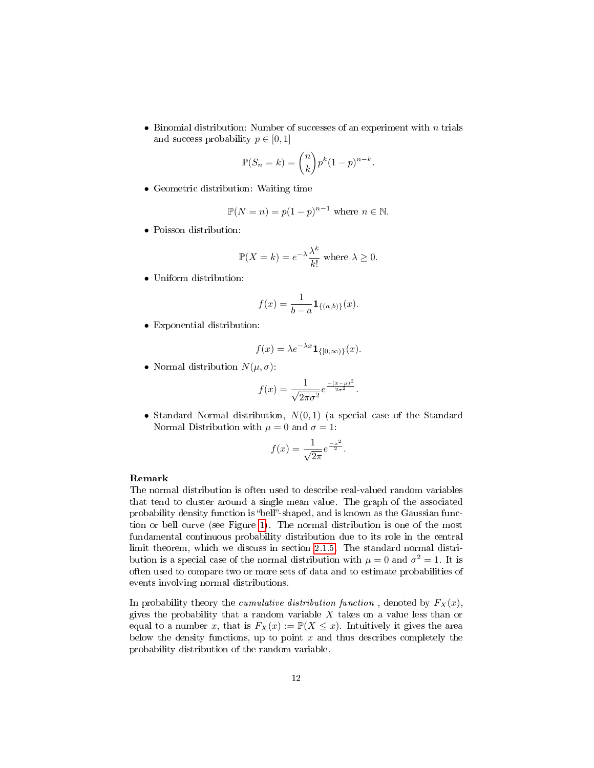<span id="page-12-0"></span>• Binomial distribution: Number of successes of an experiment with  $n$  trials and success probability  $p \in [0, 1]$ 

$$
\mathbb{P}(S_n = k) = \binom{n}{k} p^k (1-p)^{n-k}.
$$

• Geometric distribution: Waiting time

$$
\mathbb{P}(N=n) = p(1-p)^{n-1} \text{ where } n \in \mathbb{N}.
$$

• Poisson distribution:

$$
\mathbb{P}(X = k) = e^{-\lambda} \frac{\lambda^k}{k!} \text{ where } \lambda \ge 0.
$$

• Uniform distribution:

$$
f(x) = \frac{1}{b-a} \mathbf{1}_{\{(a,b)\}}(x).
$$

• Exponential distribution:

$$
f(x) = \lambda e^{-\lambda x} \mathbf{1}_{\{ [0, \infty) \}}(x).
$$

• Normal distribution  $N(\mu, \sigma)$ :

$$
f(x) = \frac{1}{\sqrt{2\pi\sigma^2}} e^{\frac{-(x-\mu)^2}{2\sigma^2}}.
$$

• Standard Normal distribution,  $N(0, 1)$  (a special case of the Standard Normal Distribution with  $\mu = 0$  and  $\sigma = 1$ :

$$
f(x) = \frac{1}{\sqrt{2\pi}} e^{\frac{-x^2}{2}}.
$$

#### Remark

The normal distribution is often used to describe real-valued random variables that tend to cluster around a single mean value. The graph of the associated probability density function is "bell"-shaped, and is known as the Gaussian function or bell curve (see Figure [1\)](#page-13-0). The normal distribution is one of the most fundamental continuous probability distribution due to its role in the central limit theorem, which we discuss in section [2.1.5.](#page-18-0) The standard normal distribution is a special case of the normal distribution with  $\mu = 0$  and  $\sigma^2 = 1$ . It is often used to compare two or more sets of data and to estimate probabilities of events involving normal distributions.

In probability theory the *cumulative distribution function*, denoted by  $F_X(x)$ , gives the probability that a random variable  $X$  takes on a value less than or equal to a number x, that is  $F_X(x) := \mathbb{P}(X \leq x)$ . Intuitively it gives the area below the density functions, up to point  $x$  and thus describes completely the probability distribution of the random variable.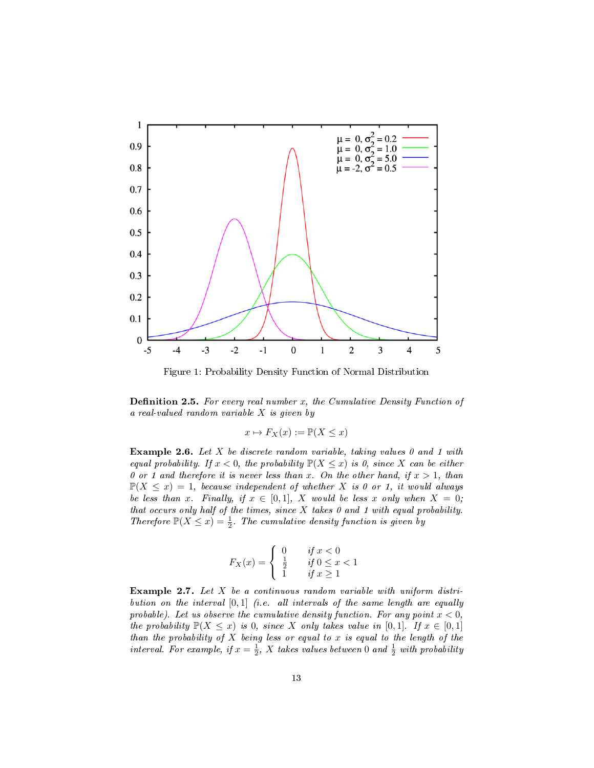<span id="page-13-2"></span>

<span id="page-13-0"></span>Figure 1: Probability Density Function of Normal Distribution

<span id="page-13-1"></span>**Definition 2.5.** For every real number x, the Cumulative Density Function of a real-valued random variable X is given by

$$
x \mapsto F_X(x) := \mathbb{P}(X \le x)
$$

**Example 2.6.** Let X be discrete random variable, taking values 0 and 1 with equal probability. If  $x < 0$ , the probability  $\mathbb{P}(X \leq x)$  is 0, since X can be either 0 or 1 and therefore it is never less than x. On the other hand, if  $x > 1$ , than  $\mathbb{P}(X \leq x) = 1$ , because independent of whether X is 0 or 1, it would always be less than x. Finally, if  $x \in [0,1]$ , X would be less x only when  $X = 0$ ; that occurs only half of the times, since  $X$  takes  $\theta$  and  $1$  with equal probability. Therefore  $\mathbb{P}(X \leq x) = \frac{1}{2}$ . The cumulative density function is given by

$$
F_X(x) = \begin{cases} 0 & \text{if } x < 0\\ \frac{1}{2} & \text{if } 0 \le x < 1\\ 1 & \text{if } x \ge 1 \end{cases}
$$

Example 2.7. Let  $X$  be a continuous random variable with uniform distribution on the interval  $[0, 1]$  (i.e. all intervals of the same length are equally probable). Let us observe the cumulative density function. For any point  $x < 0$ , the probability  $\mathbb{P}(X \leq x)$  is 0, since X only takes value in [0,1]. If  $x \in [0,1]$ than the probability of  $X$  being less or equal to  $x$  is equal to the length of the interval. For example, if  $x = \frac{1}{2}$ , X takes values between 0 and  $\frac{1}{2}$  with probability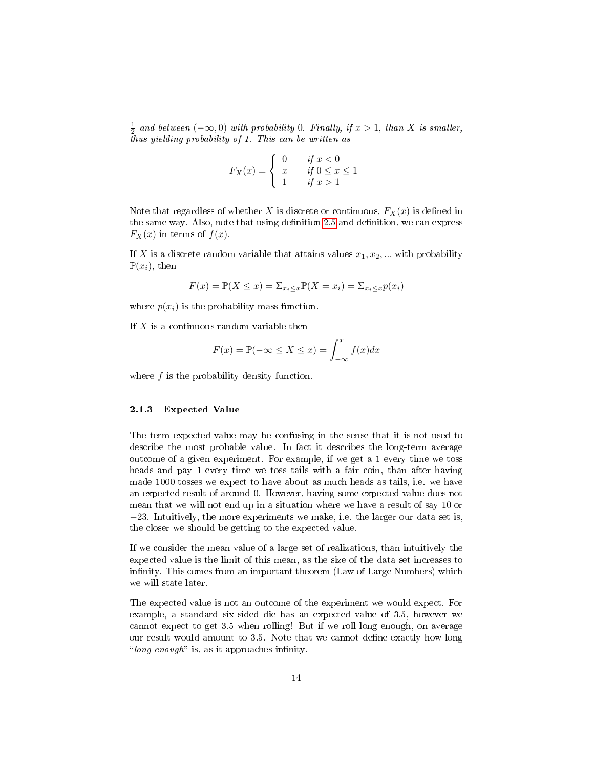$\frac{1}{2}$  and between  $(-\infty,0)$  with probability 0. Finally, if  $x>1$ , than X is smaller, thus yielding probability of 1. This can be written as

$$
F_X(x) = \begin{cases} 0 & \text{if } x < 0\\ x & \text{if } 0 \le x \le 1\\ 1 & \text{if } x > 1 \end{cases}
$$

Note that regardless of whether X is discrete or continuous,  $F_X(x)$  is defined in the same way. Also, note that using definition [2.5](#page-13-1) and definition, we can express  $F_X(x)$  in terms of  $f(x)$ .

If X is a discrete random variable that attains values  $x_1, x_2, ...$  with probability  $\mathbb{P}(x_i)$ , then

$$
F(x) = \mathbb{P}(X \le x) = \sum_{x_i \le x} \mathbb{P}(X = x_i) = \sum_{x_i \le x} p(x_i)
$$

where  $p(x_i)$  is the probability mass function.

If  $X$  is a continuous random variable then

$$
F(x) = \mathbb{P}(-\infty \le X \le x) = \int_{-\infty}^{x} f(x)dx
$$

where f is the probability density function.

#### <span id="page-14-0"></span>2.1.3 Expected Value

The term expected value may be confusing in the sense that it is not used to describe the most probable value. In fact it describes the long-term average outcome of a given experiment. For example, if we get a 1 every time we toss heads and pay 1 every time we toss tails with a fair coin, than after having made 1000 tosses we expect to have about as much heads as tails, i.e. we have an expected result of around 0. However, having some expected value does not mean that we will not end up in a situation where we have a result of say 10 or −23. Intuitively, the more experiments we make, i.e. the larger our data set is, the closer we should be getting to the expected value.

If we consider the mean value of a large set of realizations, than intuitively the expected value is the limit of this mean, as the size of the data set increases to infinity. This comes from an important theorem (Law of Large Numbers) which we will state later.

The expected value is not an outcome of the experiment we would expect. For example, a standard six-sided die has an expected value of 3.5, however we cannot expect to get 3.5 when rolling! But if we roll long enough, on average our result would amount to 3.5. Note that we cannot define exactly how long "long enough" is, as it approaches infinity.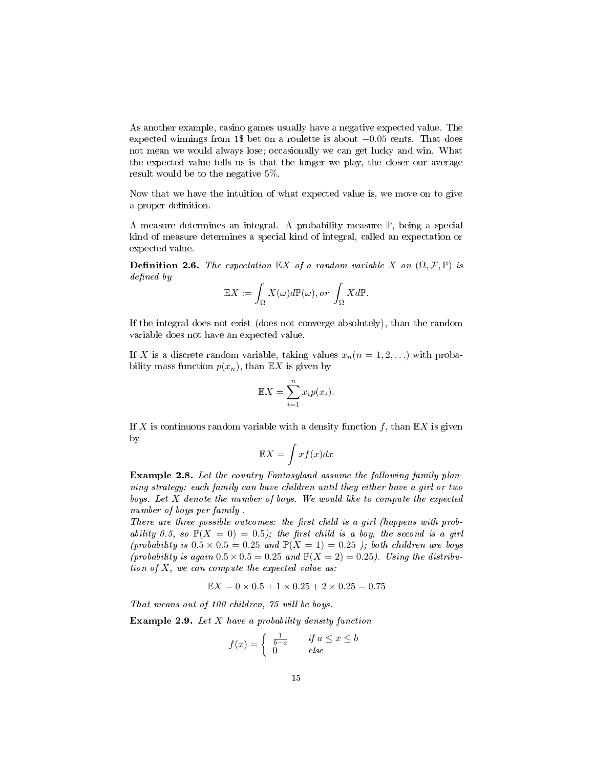<span id="page-15-0"></span>As another example, casino games usually have a negative expected value. The expected winnings from 1\$ bet on a roulette is about −0.05 cents. That does not mean we would always lose; occasionally we can get lucky and win. What the expected value tells us is that the longer we play, the closer our average result would be to the negative 5%.

Now that we have the intuition of what expected value is, we move on to give a proper definition.

A measure determines an integral. A probability measure P, being a special kind of measure determines a special kind of integral, called an expectation or expected value.

**Definition 2.6.** The expectation  $\mathbb{E}[X]$  of a random variable X on  $(\Omega, \mathcal{F}, \mathbb{P})$  is defined by

$$
\mathbb{E}X := \int_{\Omega} X(\omega) d\mathbb{P}(\omega), or \int_{\Omega} X d\mathbb{P}.
$$

If the integral does not exist (does not converge absolutely), than the random variable does not have an expected value.

If X is a discrete random variable, taking values  $x_n(n = 1, 2, ...)$  with probability mass function  $p(x_n)$ , than  $\mathbb{E}X$  is given by

$$
\mathbb{E}X = \sum_{i=1}^{n} x_i p(x_i).
$$

If X is continuous random variable with a density function  $f$ , than  $\mathbb{E} X$  is given by

$$
\mathbb{E}X = \int x f(x) dx
$$

Example 2.8. Let the country Fantasyland assume the following family planning strategy: each family can have children until they either have a girl or two boys. Let X denote the number of boys. We would like to compute the expected number of boys per family

There are three possible outcomes: the first child is a girl (happens with probability 0.5, so  $\mathbb{P}(X = 0) = 0.5$ ; the first child is a boy, the second is a girl (probability is  $0.5 \times 0.5 = 0.25$  and  $\mathbb{P}(X = 1) = 0.25$ ); both children are boys (probability is again  $0.5 \times 0.5 = 0.25$  and  $\mathbb{P}(X = 2) = 0.25$ ). Using the distribution of  $X$ , we can compute the expected value as:

$$
\mathbb{E}X = 0 \times 0.5 + 1 \times 0.25 + 2 \times 0.25 = 0.75
$$

That means out of 100 children, 75 will be boys.

**Example 2.9.** Let  $X$  have a probability density function

$$
f(x) = \begin{cases} \frac{1}{b-a} & \text{if } a \le x \le b \\ 0 & \text{else} \end{cases}
$$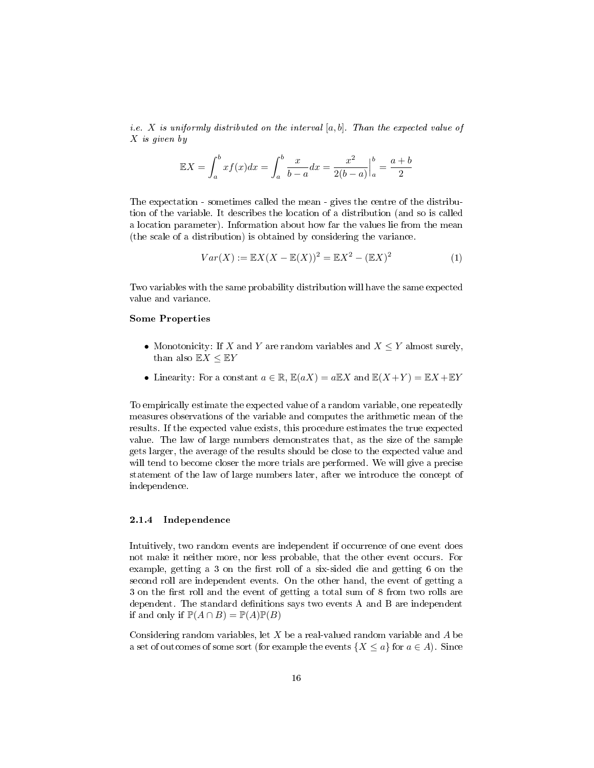<span id="page-16-1"></span>*i.e.* X is uniformly distributed on the interval  $[a, b]$ . Than the expected value of X is given by

$$
\mathbb{E}X = \int_{a}^{b} x f(x) dx = \int_{a}^{b} \frac{x}{b-a} dx = \frac{x^2}{2(b-a)} \Big|_{a}^{b} = \frac{a+b}{2}
$$

The expectation - sometimes called the mean - gives the centre of the distribution of the variable. It describes the location of a distribution (and so is called a location parameter). Information about how far the values lie from the mean (the scale of a distribution) is obtained by considering the variance.

$$
Var(X) := \mathbb{E}X(X - \mathbb{E}(X))^2 = \mathbb{E}X^2 - (\mathbb{E}X)^2
$$
 (1)

Two variables with the same probability distribution will have the same expected value and variance.

#### Some Properties

- Monotonicity: If X and Y are random variables and  $X \leq Y$  almost surely, than also  $\mathbb{E} X \leq \mathbb{E} Y$
- Linearity: For a constant  $a \in \mathbb{R}$ ,  $\mathbb{E}(aX) = a\mathbb{E}X$  and  $\mathbb{E}(X+Y) = \mathbb{E}X + \mathbb{E}Y$

To empirically estimate the expected value of a random variable, one repeatedly measures observations of the variable and computes the arithmetic mean of the results. If the expected value exists, this procedure estimates the true expected value. The law of large numbers demonstrates that, as the size of the sample gets larger, the average of the results should be close to the expected value and will tend to become closer the more trials are performed. We will give a precise statement of the law of large numbers later, after we introduce the concept of independence.

#### <span id="page-16-0"></span>2.1.4 Independence

Intuitively, two random events are independent if occurrence of one event does not make it neither more, nor less probable, that the other event occurs. For example, getting a 3 on the first roll of a six-sided die and getting 6 on the second roll are independent events. On the other hand, the event of getting a 3 on the first roll and the event of getting a total sum of 8 from two rolls are dependent. The standard denitions says two events A and B are independent if and only if  $\mathbb{P}(A \cap B) = \mathbb{P}(A)\mathbb{P}(B)$ 

Considering random variables, let  $X$  be a real-valued random variable and  $A$  be a set of outcomes of some sort (for example the events  $\{X \le a\}$  for  $a \in A$ ). Since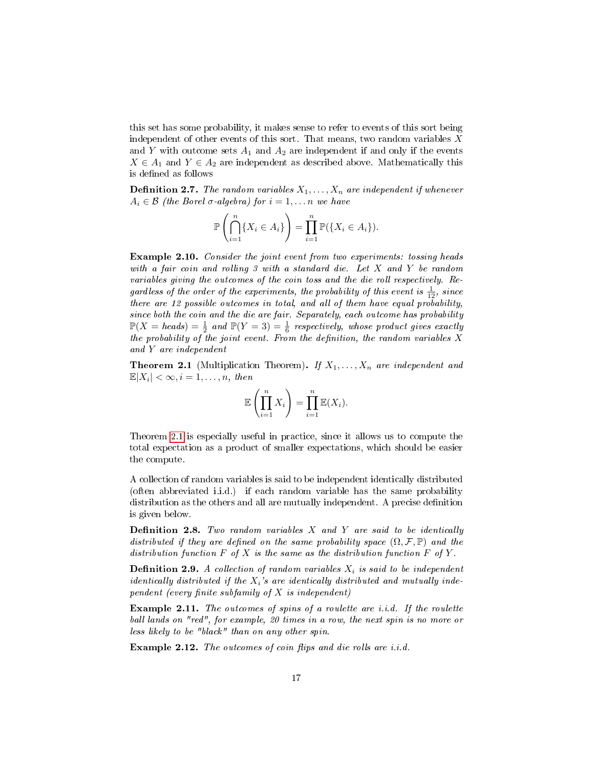<span id="page-17-1"></span>this set has some probability, it makes sense to refer to events of this sort being independent of other events of this sort. That means, two random variables  $X$ and Y with outcome sets  $A_1$  and  $A_2$  are independent if and only if the events  $X \in A_1$  and  $Y \in A_2$  are independent as described above. Mathematically this is defined as follows

**Definition 2.7.** The random variables  $X_1, \ldots, X_n$  are independent if whenever  $A_i \in \mathcal{B}$  (the Borel  $\sigma$ -algebra) for  $i = 1, \ldots n$  we have

$$
\mathbb{P}\left(\bigcap_{i=1}^n \{X_i \in A_i\}\right) = \prod_{i=1}^n \mathbb{P}(\{X_i \in A_i\}).
$$

Example 2.10. Consider the joint event from two experiments: tossing heads with a fair coin and rolling 3 with a standard die. Let X and Y be random variables giving the outcomes of the coin toss and the die roll respectively. Regardless of the order of the experiments, the probability of this event is  $\frac{1}{12}$ , since there are 12 possible outcomes in total, and all of them have equal probability, since both the coin and the die are fair. Separately, each outcome has probability  $\mathbb{P}(X = heads) = \frac{1}{2}$  and  $\mathbb{P}(Y = 3) = \frac{1}{6}$  respectively, whose product gives exactly the probability of the joint event. From the definition, the random variables  $X$ and Y are independent

<span id="page-17-0"></span>**Theorem 2.1** (Multiplication Theorem). If  $X_1, \ldots, X_n$  are independent and  $\mathbb{E}|X_i| < \infty, i = 1, \ldots, n$ , then

$$
\mathbb{E}\left(\prod_{i=1}^n X_i\right) = \prod_{i=1}^n \mathbb{E}(X_i).
$$

Theorem [2.1](#page-17-0) is especially useful in practice, since it allows us to compute the total expectation as a product of smaller expectations, which should be easier the compute.

A collection of random variables is said to be independent identically distributed (often abbreviated i.i.d.) if each random variable has the same probability distribution as the others and all are mutually independent. A precise definition is given below.

**Definition 2.8.** Two random variables  $X$  and  $Y$  are said to be identically distributed if they are defined on the same probability space  $(\Omega, \mathcal{F}, \mathbb{P})$  and the distribution function  $F$  of  $X$  is the same as the distribution function  $F$  of  $Y$ .

**Definition 2.9.** A collection of random variables  $X_i$  is said to be independent *identically distributed if the*  $X_i$ 's are identically distributed and mutually independent (every finite subfamily of  $X$  is independent)

Example 2.11. The outcomes of spins of a roulette are i.i.d. If the roulette ball lands on "red", for example, 20 times in a row, the next spin is no more or less likely to be "black" than on any other spin.

Example 2.12. The outcomes of coin flips and die rolls are i.i.d.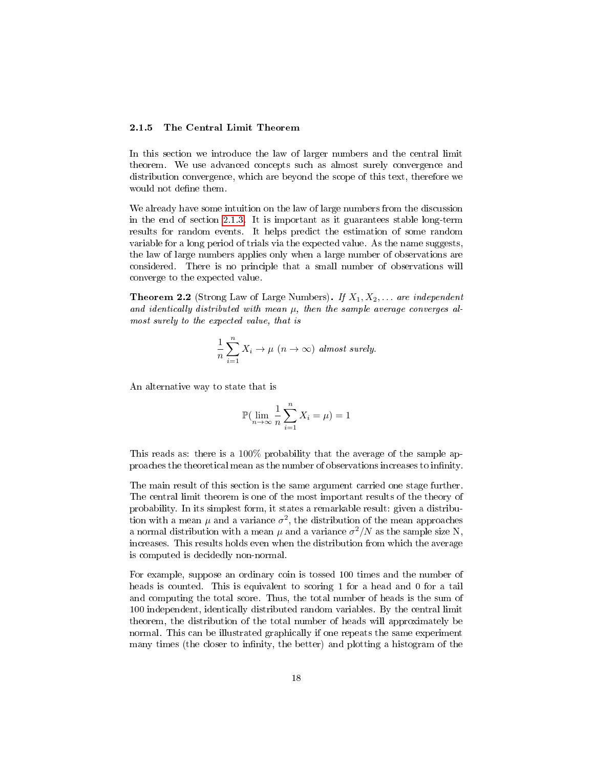#### <span id="page-18-1"></span><span id="page-18-0"></span>2.1.5 The Central Limit Theorem

In this section we introduce the law of larger numbers and the central limit theorem. We use advanced concepts such as almost surely convergence and distribution convergence, which are beyond the scope of this text, therefore we would not define them.

We already have some intuition on the law of large numbers from the discussion in the end of section [2.1.3.](#page-14-0) It is important as it guarantees stable long-term results for random events. It helps predict the estimation of some random variable for a long period of trials via the expected value. As the name suggests, the law of large numbers applies only when a large number of observations are considered. There is no principle that a small number of observations will converge to the expected value.

**Theorem 2.2** (Strong Law of Large Numbers). If  $X_1, X_2, \ldots$  are independent and identically distributed with mean  $\mu$ , then the sample average converges almost surely to the expected value, that is

$$
\frac{1}{n}\sum_{i=1}^{n}X_{i}\rightarrow\mu\ (n\rightarrow\infty)\ almost\ surely.
$$

An alternative way to state that is

$$
\mathbb{P}(\lim_{n \to \infty} \frac{1}{n} \sum_{i=1}^{n} X_i = \mu) = 1
$$

This reads as: there is a 100% probability that the average of the sample approaches the theoretical mean as the number of observations increases to innity.

The main result of this section is the same argument carried one stage further. The central limit theorem is one of the most important results of the theory of probability. In its simplest form, it states a remarkable result: given a distribution with a mean  $\mu$  and a variance  $\sigma^2$ , the distribution of the mean approaches a normal distribution with a mean  $\mu$  and a variance  $\sigma^2/N$  as the sample size N, increases. This results holds even when the distribution from which the average is computed is decidedly non-normal.

For example, suppose an ordinary coin is tossed 100 times and the number of heads is counted. This is equivalent to scoring 1 for a head and 0 for a tail and computing the total score. Thus, the total number of heads is the sum of 100 independent, identically distributed random variables. By the central limit theorem, the distribution of the total number of heads will approximately be normal. This can be illustrated graphically if one repeats the same experiment many times (the closer to infinity, the better) and plotting a histogram of the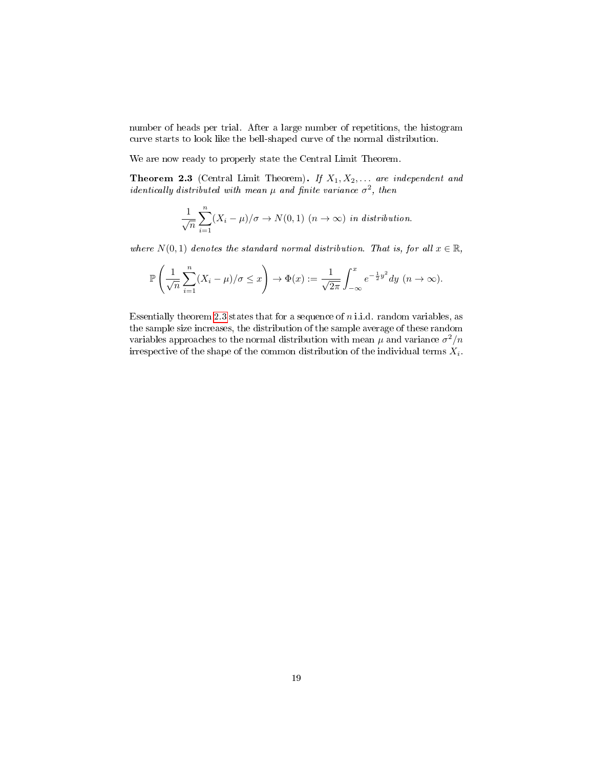<span id="page-19-1"></span>number of heads per trial. After a large number of repetitions, the histogram curve starts to look like the bell-shaped curve of the normal distribution.

We are now ready to properly state the Central Limit Theorem.

<span id="page-19-0"></span>**Theorem 2.3** (Central Limit Theorem). If  $X_1, X_2, \ldots$  are independent and identically distributed with mean  $\mu$  and finite variance  $\sigma^2$ , then

$$
\frac{1}{\sqrt{n}}\sum_{i=1}^{n}(X_i-\mu)/\sigma \to N(0,1) \ (n \to \infty) \ \text{in distribution.}
$$

where  $N(0, 1)$  denotes the standard normal distribution. That is, for all  $x \in \mathbb{R}$ ,

$$
\mathbb{P}\left(\frac{1}{\sqrt{n}}\sum_{i=1}^n (X_i - \mu)/\sigma \le x\right) \to \Phi(x) := \frac{1}{\sqrt{2\pi}} \int_{-\infty}^x e^{-\frac{1}{2}y^2} dy \quad (n \to \infty).
$$

Essentially theorem [2.3](#page-19-0) states that for a sequence of  $n$  i.i.d. random variables, as the sample size increases, the distribution of the sample average of these random variables approaches to the normal distribution with mean  $\mu$  and variance  $\sigma^2/n$ irrespective of the shape of the common distribution of the individual terms  $X_i$ .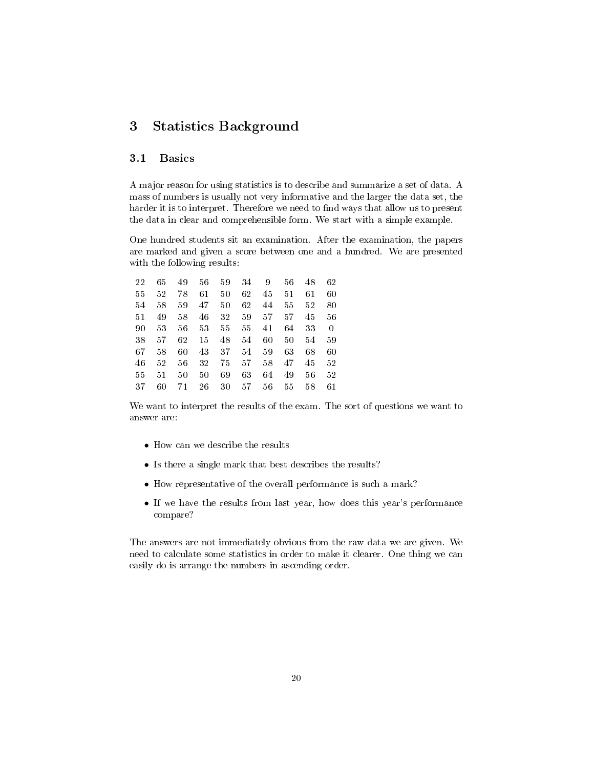## <span id="page-20-0"></span>3 Statistics Background

#### <span id="page-20-1"></span>3.1 Basics

A major reason for using statistics is to describe and summarize a set of data. A mass of numbers is usually not very informative and the larger the data set, the harder it is to interpret. Therefore we need to find ways that allow us to present the data in clear and comprehensible form. We start with a simple example.

One hundred students sit an examination. After the examination, the papers are marked and given a score between one and a hundred. We are presented with the following results:

| 22     | 65 | 49 | 56 | 59 | 34 | 9  | 56 | 48 | 62 |
|--------|----|----|----|----|----|----|----|----|----|
| 55     | 52 | 78 | 61 | 50 | 62 | 45 | 51 | 61 | 60 |
| 54     | 58 | 59 | 47 | 50 | 62 | 44 | 55 | 52 | 80 |
| $51\,$ | 49 | 58 | 46 | 32 | 59 | 57 | 57 | 45 | 56 |
| 90     | 53 | 56 | 53 | 55 | 55 | 41 | 64 | 33 | 0  |
| 38     | 57 | 62 | 15 | 48 | 54 | 60 | 50 | 54 | 59 |
| 67     | 58 | 60 | 43 | 37 | 54 | 59 | 63 | 68 | 60 |
| 46     | 52 | 56 | 32 | 75 | 57 | 58 | 47 | 45 | 52 |
| 55     | 51 | 50 | 50 | 69 | 63 | 64 | 49 | 56 | 52 |
| 37     | 60 | 71 | 26 | 30 | 57 | 56 | 55 | 58 | 61 |

We want to interpret the results of the exam. The sort of questions we want to answer are:

- How can we describe the results
- Is there a single mark that best describes the results?
- How representative of the overall performance is such a mark?
- If we have the results from last year, how does this year's performance compare?

The answers are not immediately obvious from the raw data we are given. We need to calculate some statistics in order to make it clearer. One thing we can easily do is arrange the numbers in ascending order.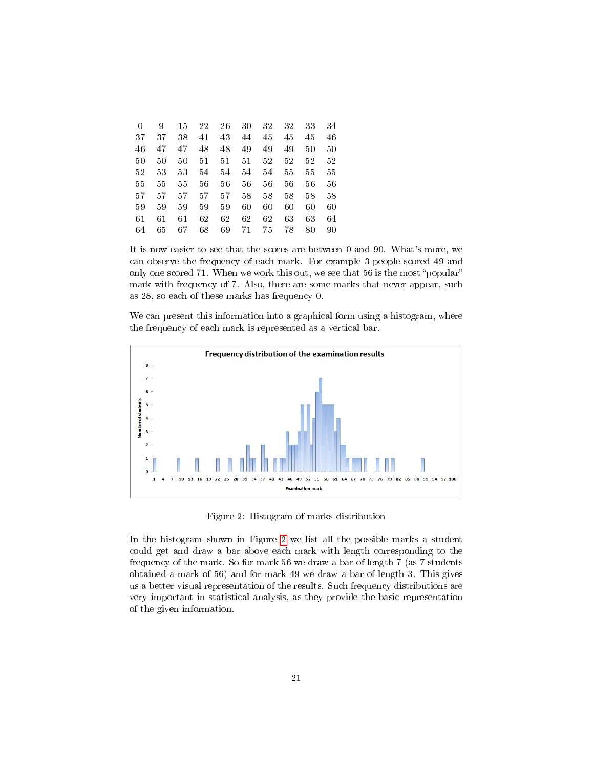| 0  | 9  | 15 | 22 | 26 | 30 | 32 | 32 | 33 | 34 |
|----|----|----|----|----|----|----|----|----|----|
| 37 | 37 | 38 | 41 | 43 | 44 | 45 | 45 | 45 | 46 |
| 46 | 47 | 47 | 48 | 48 | 49 | 49 | 49 | 50 | 50 |
| 50 | 50 | 50 | 51 | 51 | 51 | 52 | 52 | 52 | 52 |
| 52 | 53 | 53 | 54 | 54 | 54 | 54 | 55 | 55 | 55 |
| 55 | 55 | 55 | 56 | 56 | 56 | 56 | 56 | 56 | 56 |
| 57 | 57 | 57 | 57 | 57 | 58 | 58 | 58 | 58 | 58 |
| 59 | 59 | 59 | 59 | 59 | 60 | 60 | 60 | 60 | 60 |
| 61 | 61 | 61 | 62 | 62 | 62 | 62 | 63 | 63 | 64 |
| 64 | 65 | 67 | 68 | 69 | 71 | 75 | 78 | 80 | 90 |

It is now easier to see that the scores are between 0 and 90. What's more, we can observe the frequency of each mark. For example 3 people scored 49 and only one scored 71. When we work this out, we see that  $56$  is the most "popular" mark with frequency of 7. Also, there are some marks that never appear, such as 28, so each of these marks has frequency 0.

We can present this information into a graphical form using a histogram, where the frequency of each mark is represented as a vertical bar.



<span id="page-21-0"></span>Figure 2: Histogram of marks distribution

In the histogram shown in Figure [2](#page-21-0) we list all the possible marks a student could get and draw a bar above each mark with length corresponding to the frequency of the mark. So for mark 56 we draw a bar of length 7 (as 7 students obtained a mark of 56) and for mark 49 we draw a bar of length 3. This gives us a better visual representation of the results. Such frequency distributions are very important in statistical analysis, as they provide the basic representation of the given information.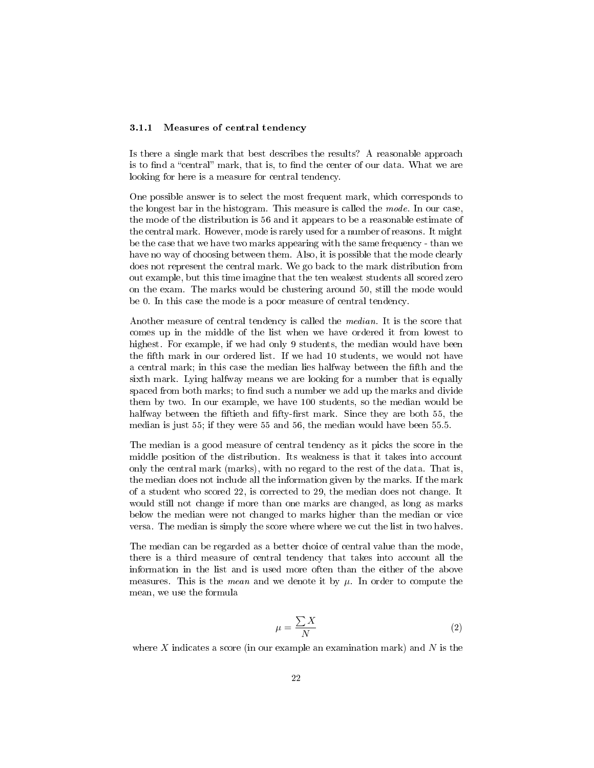#### <span id="page-22-1"></span><span id="page-22-0"></span>3.1.1 Measures of central tendency

Is there a single mark that best describes the results? A reasonable approach is to find a "central" mark, that is, to find the center of our data. What we are looking for here is a measure for central tendency.

One possible answer is to select the most frequent mark, which corresponds to the longest bar in the histogram. This measure is called the mode. In our case, the mode of the distribution is 56 and it appears to be a reasonable estimate of the central mark. However, mode is rarely used for a number of reasons. It might be the case that we have two marks appearing with the same frequency - than we have no way of choosing between them. Also, it is possible that the mode clearly does not represent the central mark. We go back to the mark distribution from out example, but this time imagine that the ten weakest students all scored zero on the exam. The marks would be clustering around 50, still the mode would be 0. In this case the mode is a poor measure of central tendency.

Another measure of central tendency is called the median. It is the score that comes up in the middle of the list when we have ordered it from lowest to highest. For example, if we had only 9 students, the median would have been the fifth mark in our ordered list. If we had 10 students, we would not have a central mark; in this case the median lies halfway between the fifth and the sixth mark. Lying halfway means we are looking for a number that is equally spaced from both marks; to find such a number we add up the marks and divide them by two. In our example, we have 100 students, so the median would be halfway between the fiftieth and fifty-first mark. Since they are both 55, the median is just 55; if they were 55 and 56, the median would have been 55.5.

The median is a good measure of central tendency as it picks the score in the middle position of the distribution. Its weakness is that it takes into account only the central mark (marks), with no regard to the rest of the data. That is, the median does not include all the information given by the marks. If the mark of a student who scored 22, is corrected to 29, the median does not change. It would still not change if more than one marks are changed, as long as marks below the median were not changed to marks higher than the median or vice versa. The median is simply the score where where we cut the list in two halves.

The median can be regarded as a better choice of central value than the mode, there is a third measure of central tendency that takes into account all the information in the list and is used more often than the either of the above measures. This is the *mean* and we denote it by  $\mu$ . In order to compute the mean, we use the formula

$$
\mu = \frac{\sum X}{N} \tag{2}
$$

where X indicates a score (in our example an examination mark) and N is the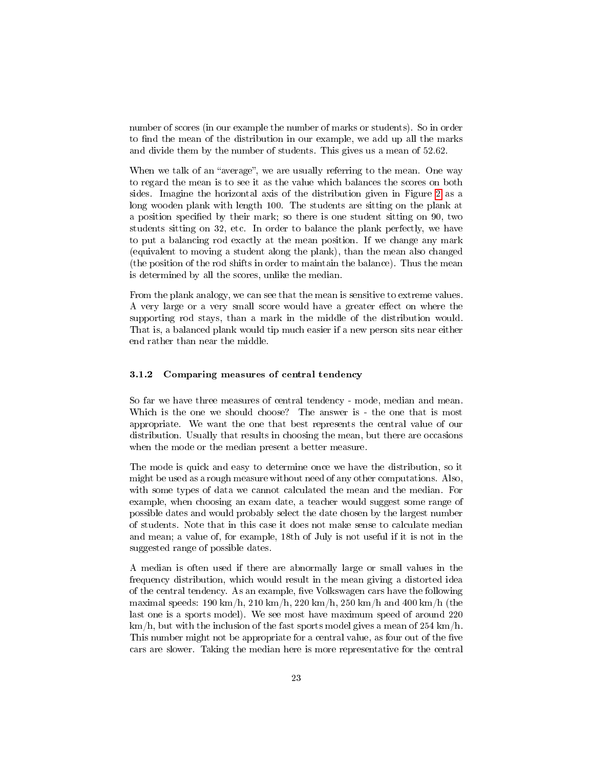<span id="page-23-1"></span>number of scores (in our example the number of marks or students). So in order to find the mean of the distribution in our example, we add up all the marks and divide them by the number of students. This gives us a mean of 52.62.

When we talk of an "average", we are usually referring to the mean. One way to regard the mean is to see it as the value which balances the scores on both sides. Imagine the horizontal axis of the distribution given in Figure [2](#page-21-0) as a long wooden plank with length 100. The students are sitting on the plank at a position specified by their mark; so there is one student sitting on 90, two students sitting on 32, etc. In order to balance the plank perfectly, we have to put a balancing rod exactly at the mean position. If we change any mark (equivalent to moving a student along the plank), than the mean also changed (the position of the rod shifts in order to maintain the balance). Thus the mean is determined by all the scores, unlike the median.

From the plank analogy, we can see that the mean is sensitive to extreme values. A very large or a very small score would have a greater effect on where the supporting rod stays, than a mark in the middle of the distribution would. That is, a balanced plank would tip much easier if a new person sits near either end rather than near the middle.

#### <span id="page-23-0"></span>3.1.2 Comparing measures of central tendency

So far we have three measures of central tendency - mode, median and mean. Which is the one we should choose? The answer is - the one that is most appropriate. We want the one that best represents the central value of our distribution. Usually that results in choosing the mean, but there are occasions when the mode or the median present a better measure.

The mode is quick and easy to determine once we have the distribution, so it might be used as a rough measure without need of any other computations. Also, with some types of data we cannot calculated the mean and the median. For example, when choosing an exam date, a teacher would suggest some range of possible dates and would probably select the date chosen by the largest number of students. Note that in this case it does not make sense to calculate median and mean; a value of, for example, 18th of July is not useful if it is not in the suggested range of possible dates.

A median is often used if there are abnormally large or small values in the frequency distribution, which would result in the mean giving a distorted idea of the central tendency. As an example, five Volkswagen cars have the following maximal speeds:  $190 \text{ km/h}$ ,  $210 \text{ km/h}$ ,  $220 \text{ km/h}$ ,  $250 \text{ km/h}$  and  $400 \text{ km/h}$  (the last one is a sports model). We see most have maximum speed of around 220 km/h, but with the inclusion of the fast sports model gives a mean of 254 km/h. This number might not be appropriate for a central value, as four out of the five cars are slower. Taking the median here is more representative for the central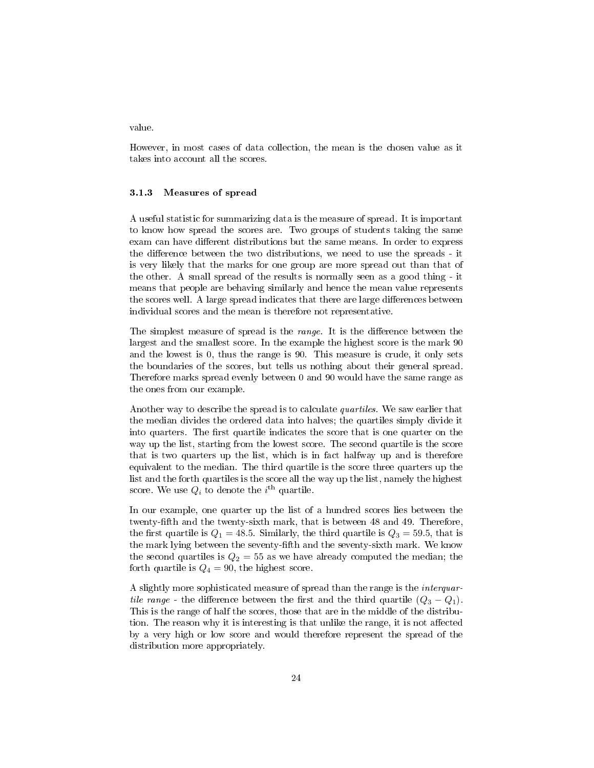<span id="page-24-1"></span>value.

However, in most cases of data collection, the mean is the chosen value as it takes into account all the scores.

#### <span id="page-24-0"></span>3.1.3 Measures of spread

A useful statistic for summarizing data is the measure of spread. It is important to know how spread the scores are. Two groups of students taking the same exam can have different distributions but the same means. In order to express the difference between the two distributions, we need to use the spreads - it is very likely that the marks for one group are more spread out than that of the other. A small spread of the results is normally seen as a good thing - it means that people are behaving similarly and hence the mean value represents the scores well. A large spread indicates that there are large differences between individual scores and the mean is therefore not representative.

The simplest measure of spread is the *range*. It is the difference between the largest and the smallest score. In the example the highest score is the mark 90 and the lowest is 0, thus the range is 90. This measure is crude, it only sets the boundaries of the scores, but tells us nothing about their general spread. Therefore marks spread evenly between 0 and 90 would have the same range as the ones from our example.

Another way to describe the spread is to calculate quartiles. We saw earlier that the median divides the ordered data into halves; the quartiles simply divide it into quarters. The first quartile indicates the score that is one quarter on the way up the list, starting from the lowest score. The second quartile is the score that is two quarters up the list, which is in fact halfway up and is therefore equivalent to the median. The third quartile is the score three quarters up the list and the forth quartiles is the score all the way up the list, namely the highest score. We use  $Q_i$  to denote the  $i^{\text{th}}$  quartile.

In our example, one quarter up the list of a hundred scores lies between the twenty-fth and the twenty-sixth mark, that is between 48 and 49. Therefore, the first quartile is  $Q_1 = 48.5$ . Similarly, the third quartile is  $Q_3 = 59.5$ , that is the mark lying between the seventy-fth and the seventy-sixth mark. We know the second quartiles is  $Q_2 = 55$  as we have already computed the median; the forth quartile is  $Q_4 = 90$ , the highest score.

A slightly more sophisticated measure of spread than the range is the interquartile range - the difference between the first and the third quartile  $(Q_3 - Q_1)$ . This is the range of half the scores, those that are in the middle of the distribution. The reason why it is interesting is that unlike the range, it is not affected by a very high or low score and would therefore represent the spread of the distribution more appropriately.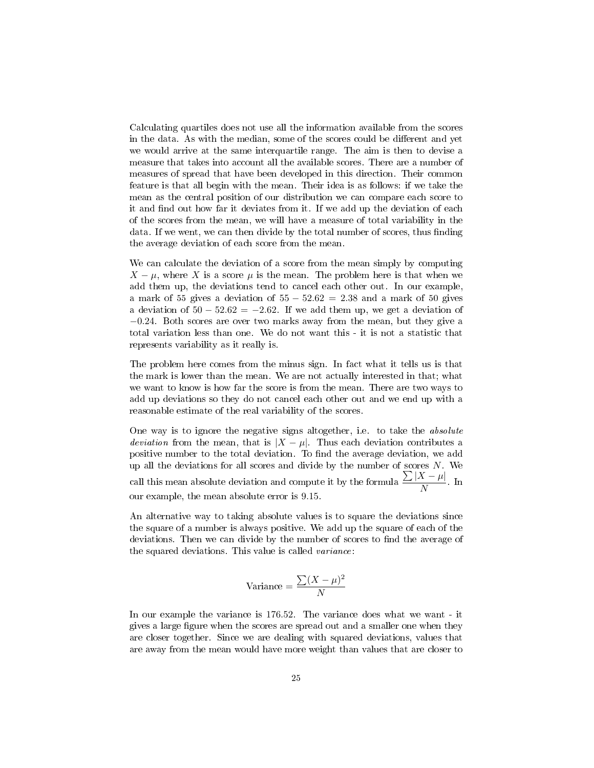<span id="page-25-0"></span>Calculating quartiles does not use all the information available from the scores in the data. As with the median, some of the scores could be different and yet we would arrive at the same interquartile range. The aim is then to devise a measure that takes into account all the available scores. There are a number of measures of spread that have been developed in this direction. Their common feature is that all begin with the mean. Their idea is as follows: if we take the mean as the central position of our distribution we can compare each score to it and find out how far it deviates from it. If we add up the deviation of each of the scores from the mean, we will have a measure of total variability in the data. If we went, we can then divide by the total number of scores, thus finding the average deviation of each score from the mean.

We can calculate the deviation of a score from the mean simply by computing  $X - \mu$ , where X is a score  $\mu$  is the mean. The problem here is that when we add them up, the deviations tend to cancel each other out. In our example, a mark of 55 gives a deviation of  $55 - 52.62 = 2.38$  and a mark of 50 gives a deviation of  $50 - 52.62 = -2.62$ . If we add them up, we get a deviation of −0.24. Both scores are over two marks away from the mean, but they give a total variation less than one. We do not want this - it is not a statistic that represents variability as it really is.

The problem here comes from the minus sign. In fact what it tells us is that the mark is lower than the mean. We are not actually interested in that; what we want to know is how far the score is from the mean. There are two ways to add up deviations so they do not cancel each other out and we end up with a reasonable estimate of the real variability of the scores.

One way is to ignore the negative signs altogether, i.e. to take the absolute *deviation* from the mean, that is  $|X - \mu|$ . Thus each deviation contributes a positive number to the total deviation. To find the average deviation, we add up all the deviations for all scores and divide by the number of scores  $N$ . We call this mean absolute deviation and compute it by the formula  $\frac{\sum |X - \mu|}{N}$  $\frac{1-\mu}{N}$ . In our example, the mean absolute error is 9.15.

An alternative way to taking absolute values is to square the deviations since the square of a number is always positive. We add up the square of each of the deviations. Then we can divide by the number of scores to find the average of the squared deviations. This value is called variance:

$$
Variance = \frac{\sum (X - \mu)^2}{N}
$$

In our example the variance is 176.52. The variance does what we want - it gives a large figure when the scores are spread out and a smaller one when they are closer together. Since we are dealing with squared deviations, values that are away from the mean would have more weight than values that are closer to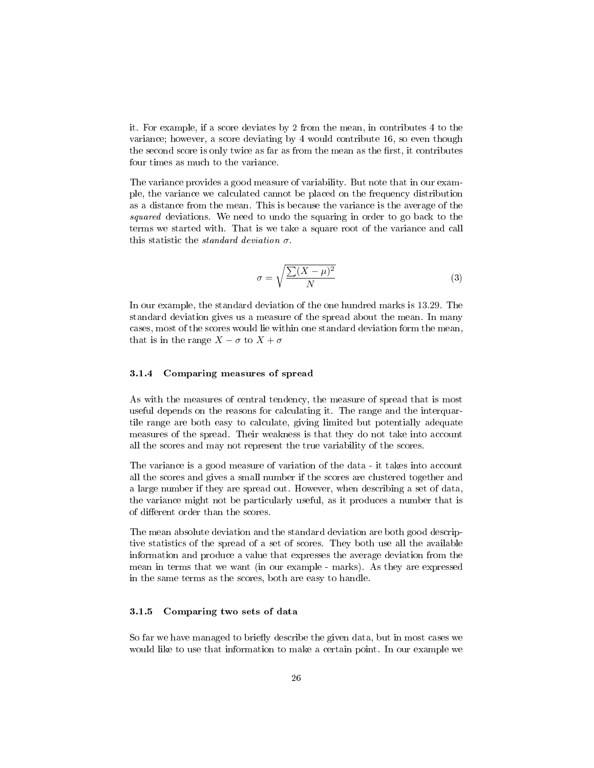<span id="page-26-3"></span>it. For example, if a score deviates by 2 from the mean, in contributes 4 to the variance; however, a score deviating by 4 would contribute 16, so even though the second score is only twice as far as from the mean as the first, it contributes four times as much to the variance.

The variance provides a good measure of variability. But note that in our example, the variance we calculated cannot be placed on the frequency distribution as a distance from the mean. This is because the variance is the average of the squared deviations. We need to undo the squaring in order to go back to the terms we started with. That is we take a square root of the variance and call this statistic the *standard deviation*  $\sigma$ .

<span id="page-26-2"></span>
$$
\sigma = \sqrt{\frac{\sum (X - \mu)^2}{N}} \tag{3}
$$

In our example, the standard deviation of the one hundred marks is 13.29. The standard deviation gives us a measure of the spread about the mean. In many cases, most of the scores would lie within one standard deviation form the mean, that is in the range  $X - \sigma$  to  $X + \sigma$ 

#### <span id="page-26-0"></span>3.1.4 Comparing measures of spread

As with the measures of central tendency, the measure of spread that is most useful depends on the reasons for calculating it. The range and the interquartile range are both easy to calculate, giving limited but potentially adequate measures of the spread. Their weakness is that they do not take into account all the scores and may not represent the true variability of the scores.

The variance is a good measure of variation of the data - it takes into account all the scores and gives a small number if the scores are clustered together and a large number if they are spread out. However, when describing a set of data, the variance might not be particularly useful, as it produces a number that is of different order than the scores.

The mean absolute deviation and the standard deviation are both good descriptive statistics of the spread of a set of scores. They both use all the available information and produce a value that expresses the average deviation from the mean in terms that we want (in our example - marks). As they are expressed in the same terms as the scores, both are easy to handle.

#### <span id="page-26-1"></span>3.1.5 Comparing two sets of data

So far we have managed to briefly describe the given data, but in most cases we would like to use that information to make a certain point. In our example we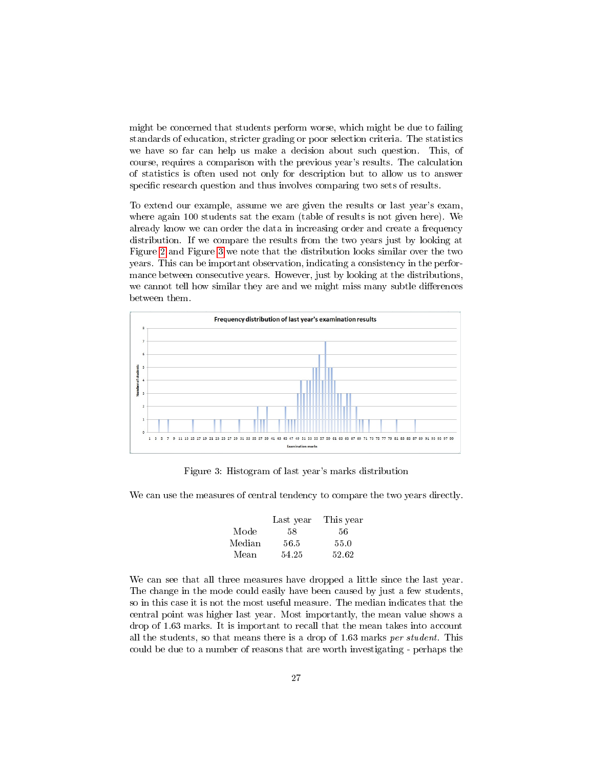might be concerned that students perform worse, which might be due to failing standards of education, stricter grading or poor selection criteria. The statistics we have so far can help us make a decision about such question. This, of course, requires a comparison with the previous year's results. The calculation of statistics is often used not only for description but to allow us to answer specific research question and thus involves comparing two sets of results.

To extend our example, assume we are given the results or last year's exam, where again 100 students sat the exam (table of results is not given here). We already know we can order the data in increasing order and create a frequency distribution. If we compare the results from the two years just by looking at Figure [2](#page-21-0) and Figure [3](#page-27-0) we note that the distribution looks similar over the two years. This can be important observation, indicating a consistency in the performance between consecutive years. However, just by looking at the distributions, we cannot tell how similar they are and we might miss many subtle differences between them.



<span id="page-27-0"></span>Figure 3: Histogram of last year's marks distribution

We can use the measures of central tendency to compare the two years directly.

|        | Last year | This year |
|--------|-----------|-----------|
| Mode   | 58        | 56        |
| Median | 56.5      | 55.0      |
| Mean   | 54.25     | 52.62     |

We can see that all three measures have dropped a little since the last year. The change in the mode could easily have been caused by just a few students, so in this case it is not the most useful measure. The median indicates that the central point was higher last year. Most importantly, the mean value shows a drop of 1.63 marks. It is important to recall that the mean takes into account all the students, so that means there is a drop of 1.63 marks per student. This could be due to a number of reasons that are worth investigating - perhaps the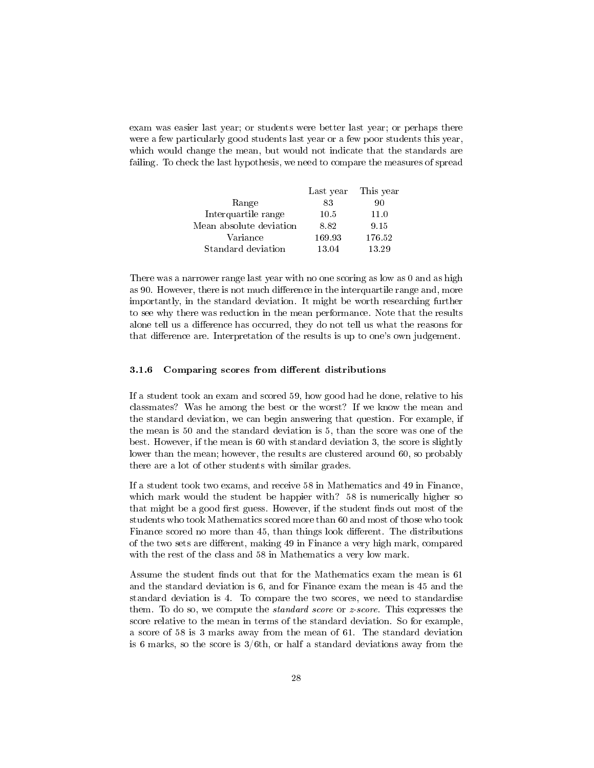<span id="page-28-1"></span>exam was easier last year; or students were better last year; or perhaps there were a few particularly good students last year or a few poor students this year, which would change the mean, but would not indicate that the standards are failing. To check the last hypothesis, we need to compare the measures of spread

|                         | Last year | This year |
|-------------------------|-----------|-----------|
| Range                   | 83        | 90        |
| Interquartile range     | 10.5      | 11.0      |
| Mean absolute deviation | 8.82      | 9.15      |
| Variance                | 169.93    | 176.52    |
| Standard deviation      | 13.04     | 13.29     |

There was a narrower range last year with no one scoring as low as 0 and as high as 90. However, there is not much difference in the interquartile range and, more importantly, in the standard deviation. It might be worth researching further to see why there was reduction in the mean performance. Note that the results alone tell us a difference has occurred, they do not tell us what the reasons for that difference are. Interpretation of the results is up to one's own judgement.

#### <span id="page-28-0"></span>3.1.6 Comparing scores from different distributions

If a student took an exam and scored 59, how good had he done, relative to his classmates? Was he among the best or the worst? If we know the mean and the standard deviation, we can begin answering that question. For example, if the mean is 50 and the standard deviation is 5, than the score was one of the best. However, if the mean is 60 with standard deviation 3, the score is slightly lower than the mean; however, the results are clustered around 60, so probably there are a lot of other students with similar grades.

If a student took two exams, and receive 58 in Mathematics and 49 in Finance, which mark would the student be happier with? 58 is numerically higher so that might be a good first guess. However, if the student finds out most of the students who took Mathematics scored more than 60 and most of those who took Finance scored no more than 45, than things look different. The distributions of the two sets are different, making 49 in Finance a very high mark, compared with the rest of the class and 58 in Mathematics a very low mark.

Assume the student finds out that for the Mathematics exam the mean is 61 and the standard deviation is 6, and for Finance exam the mean is 45 and the standard deviation is 4. To compare the two scores, we need to standardise them. To do so, we compute the *standard score* or *z*-score. This expresses the score relative to the mean in terms of the standard deviation. So for example, a score of 58 is 3 marks away from the mean of 61. The standard deviation is 6 marks, so the score is 3/6th, or half a standard deviations away from the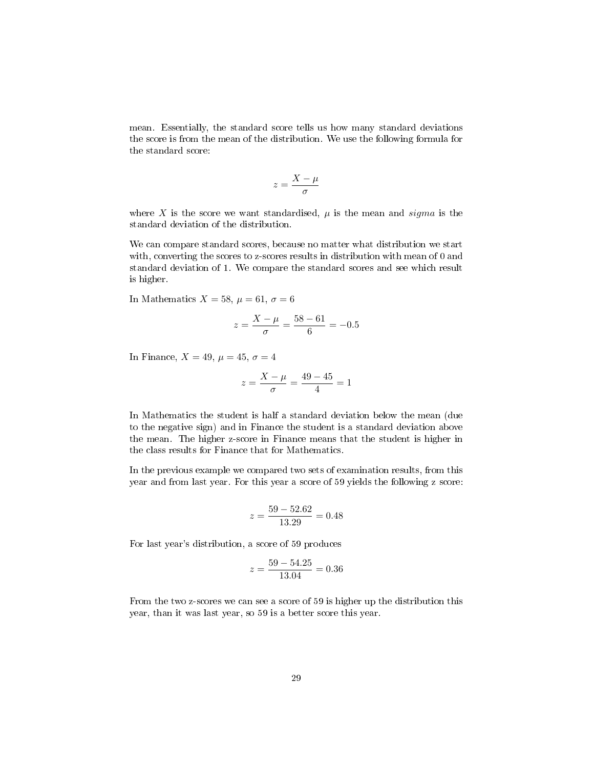mean. Essentially, the standard score tells us how many standard deviations the score is from the mean of the distribution. We use the following formula for the standard score:

$$
z=\frac{X-\mu}{\sigma}
$$

where X is the score we want standardised,  $\mu$  is the mean and *sigma* is the standard deviation of the distribution.

We can compare standard scores, because no matter what distribution we start with, converting the scores to z-scores results in distribution with mean of 0 and standard deviation of 1. We compare the standard scores and see which result is higher.

In Mathematics  $X = 58$ ,  $\mu = 61$ ,  $\sigma = 6$ 

$$
z = \frac{X - \mu}{\sigma} = \frac{58 - 61}{6} = -0.5
$$

In Finance,  $X = 49$ ,  $\mu = 45$ ,  $\sigma = 4$ 

$$
z = \frac{X - \mu}{\sigma} = \frac{49 - 45}{4} = 1
$$

In Mathematics the student is half a standard deviation below the mean (due to the negative sign) and in Finance the student is a standard deviation above the mean. The higher z-score in Finance means that the student is higher in the class results for Finance that for Mathematics.

In the previous example we compared two sets of examination results, from this year and from last year. For this year a score of 59 yields the following z score:

$$
z = \frac{59 - 52.62}{13.29} = 0.48
$$

For last year's distribution, a score of 59 produces

$$
z = \frac{59 - 54.25}{13.04} = 0.36
$$

From the two z-scores we can see a score of 59 is higher up the distribution this year, than it was last year, so 59 is a better score this year.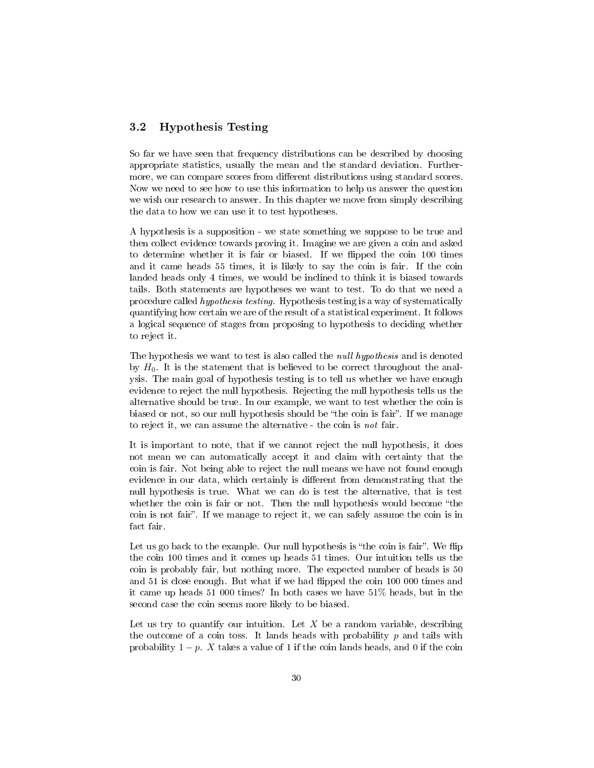#### <span id="page-30-1"></span><span id="page-30-0"></span>3.2 Hypothesis Testing

So far we have seen that frequency distributions can be described by choosing appropriate statistics, usually the mean and the standard deviation. Furthermore, we can compare scores from different distributions using standard scores. Now we need to see how to use this information to help us answer the question we wish our research to answer. In this chapter we move from simply describing the data to how we can use it to test hypotheses.

A hypothesis is a supposition - we state something we suppose to be true and then collect evidence towards proving it. Imagine we are given a coin and asked to determine whether it is fair or biased. If we flipped the coin 100 times and it came heads 55 times, it is likely to say the coin is fair. If the coin landed heads only 4 times, we would be inclined to think it is biased towards tails. Both statements are hypotheses we want to test. To do that we need a procedure called hypothesis testing. Hypothesis testing is a way of systematically quantifying how certain we are of the result of a statistical experiment. It follows a logical sequence of stages from proposing to hypothesis to deciding whether to reject it.

The hypothesis we want to test is also called the *null hypothesis* and is denoted by  $H_0$ . It is the statement that is believed to be correct throughout the analysis. The main goal of hypothesis testing is to tell us whether we have enough evidence to reject the null hypothesis. Rejecting the null hypothesis tells us the alternative should be true. In our example, we want to test whether the coin is biased or not, so our null hypothesis should be "the coin is fair". If we manage to reject it, we can assume the alternative - the coin is not fair.

It is important to note, that if we cannot reject the null hypothesis, it does not mean we can automatically accept it and claim with certainty that the coin is fair. Not being able to reject the null means we have not found enough evidence in our data, which certainly is different from demonstrating that the null hypothesis is true. What we can do is test the alternative, that is test whether the coin is fair or not. Then the null hypothesis would become "the coin is not fair. If we manage to reject it, we can safely assume the coin is in fact fair.

Let us go back to the example. Our null hypothesis is "the coin is fair". We flip the coin 100 times and it comes up heads 51 times. Our intuition tells us the coin is probably fair, but nothing more. The expected number of heads is 50 and 51 is close enough. But what if we had flipped the coin 100 000 times and it came up heads 51 000 times? In both cases we have 51% heads, but in the second case the coin seems more likely to be biased.

Let us try to quantify our intuition. Let  $X$  be a random variable, describing the outcome of a coin toss. It lands heads with probability  $p$  and tails with probability  $1 - p$ . X takes a value of 1 if the coin lands heads, and 0 if the coin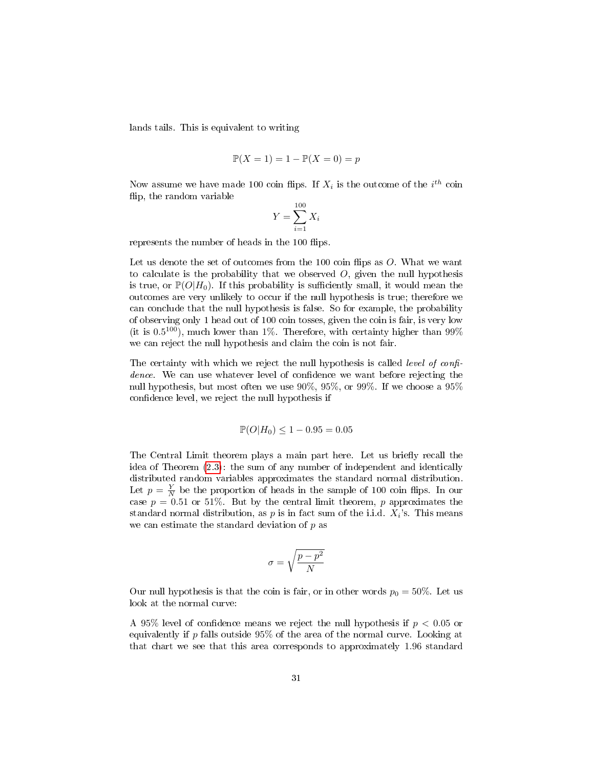<span id="page-31-0"></span>lands tails. This is equivalent to writing

$$
\mathbb{P}(X=1) = 1 - \mathbb{P}(X=0) = p
$$

Now assume we have made 100 coin flips. If  $X_i$  is the outcome of the  $i^{th}$  coin flip, the random variable

$$
Y = \sum_{i=1}^{100} X_i
$$

represents the number of heads in the 100 flips.

Let us denote the set of outcomes from the 100 coin flips as  $O$ . What we want to calculate is the probability that we observed  $O$ , given the null hypothesis is true, or  $\mathbb{P}(O|H_0)$ . If this probability is sufficiently small, it would mean the outcomes are very unlikely to occur if the null hypothesis is true; therefore we can conclude that the null hypothesis is false. So for example, the probability of observing only 1 head out of 100 coin tosses, given the coin is fair, is very low (it is  $0.5^{100}$ ), much lower than 1%. Therefore, with certainty higher than  $99\%$ we can reject the null hypothesis and claim the coin is not fair.

The certainty with which we reject the null hypothesis is called *level of confi*dence. We can use whatever level of confidence we want before rejecting the null hypothesis, but most often we use 90%, 95%, or 99%. If we choose a 95% confidence level, we reject the null hypothesis if

$$
\mathbb{P}(O|H_0) \le 1 - 0.95 = 0.05
$$

The Central Limit theorem plays a main part here. Let us briefly recall the idea of Theorem [\(2.3\)](#page-19-0): the sum of any number of independent and identically distributed random variables approximates the standard normal distribution. Let  $p = \frac{Y}{N}$  be the proportion of heads in the sample of 100 coin flips. In our case  $p = 0.51$  or 51%. But by the central limit theorem, p approximates the standard normal distribution, as  $p$  is in fact sum of the i.i.d.  $X_i$ 's. This means we can estimate the standard deviation of  $p$  as

$$
\sigma = \sqrt{\frac{p-p^2}{N}}
$$

Our null hypothesis is that the coin is fair, or in other words  $p_0 = 50\%$ . Let us look at the normal curve:

A 95% level of confidence means we reject the null hypothesis if  $p < 0.05$  or equivalently if  $p$  falls outside  $95\%$  of the area of the normal curve. Looking at that chart we see that this area corresponds to approximately 1.96 standard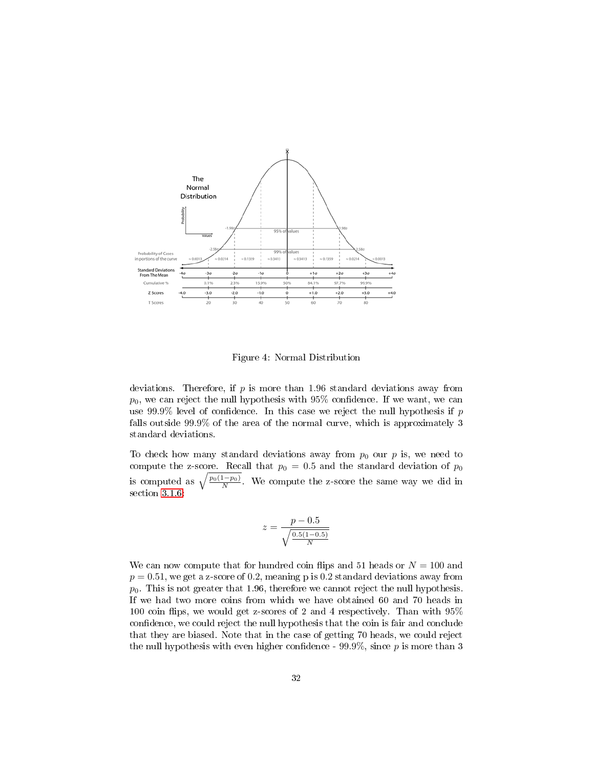

Figure 4: Normal Distribution

deviations. Therefore, if  $p$  is more than 1.96 standard deviations away from  $p_0$ , we can reject the null hypothesis with 95% confidence. If we want, we can use 99.9% level of confidence. In this case we reject the null hypothesis if  $p$ falls outside 99.9% of the area of the normal curve, which is approximately 3 standard deviations.

To check how many standard deviations away from  $p_0$  our p is, we need to compute the z-score. Recall that  $p_0 = 0.5$  and the standard deviation of  $p_0$ is computed as  $\sqrt{\frac{p_0(1-p_0)}{N}}$ . We compute the z-score the same way we did in section [3.1.6:](#page-28-0)

$$
z = \frac{p - 0.5}{\sqrt{\frac{0.5(1 - 0.5)}{N}}}
$$

We can now compute that for hundred coin flips and 51 heads or  $N = 100$  and  $p = 0.51$ , we get a z-score of 0.2, meaning p is 0.2 standard deviations away from  $p_0$ . This is not greater that 1.96, therefore we cannot reject the null hypothesis. If we had two more coins from which we have obtained 60 and 70 heads in 100 coin flips, we would get z-scores of 2 and 4 respectively. Than with  $95\%$ confidence, we could reject the null hypothesis that the coin is fair and conclude that they are biased. Note that in the case of getting 70 heads, we could reject the null hypothesis with even higher confidence - 99.9%, since  $p$  is more than 3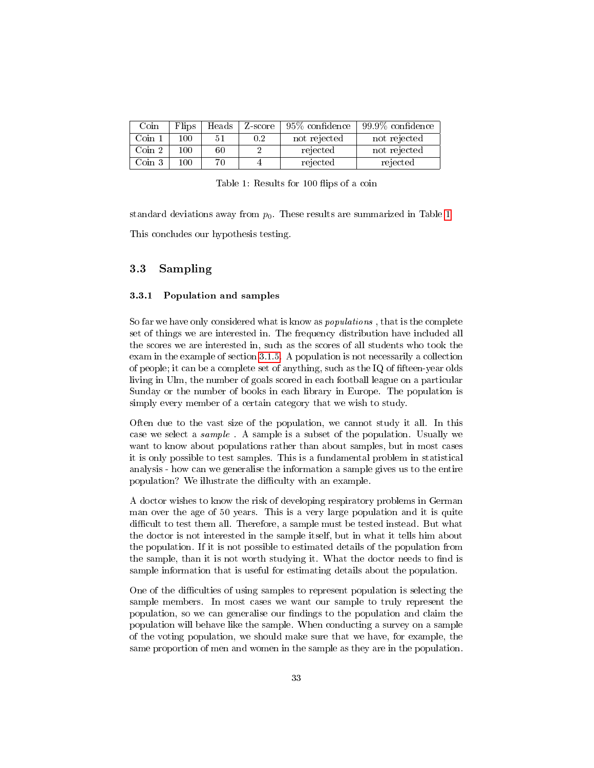<span id="page-33-3"></span>

| Coin                   | Flips | Heads | Z-score | $95\%$ confidence | $+99.9\%$ confidence |
|------------------------|-------|-------|---------|-------------------|----------------------|
| Coin 1                 | 100   | 51    | 0.2     | not rejected      | not rejected         |
| $\operatorname{Coin}2$ | 100   | 60    |         | rejected          | not rejected         |
| $\binom{1}{1}$         | 100.  |       |         | rejected          | rejected             |

<span id="page-33-2"></span>Table 1: Results for 100 flips of a coin

standard deviations away from  $p_0$ . These results are summarized in Table [1](#page-33-2) This concludes our hypothesis testing.

#### <span id="page-33-0"></span>3.3 Sampling

#### <span id="page-33-1"></span>3.3.1 Population and samples

So far we have only considered what is know as populations , that is the complete set of things we are interested in. The frequency distribution have included all the scores we are interested in, such as the scores of all students who took the exam in the example of section [3.1.5.](#page-26-1) A population is not necessarily a collection of people; it can be a complete set of anything, such as the  $IQ$  of fifteen-year olds living in Ulm, the number of goals scored in each football league on a particular Sunday or the number of books in each library in Europe. The population is simply every member of a certain category that we wish to study.

Often due to the vast size of the population, we cannot study it all. In this case we select a sample . A sample is a subset of the population. Usually we want to know about populations rather than about samples, but in most cases it is only possible to test samples. This is a fundamental problem in statistical analysis - how can we generalise the information a sample gives us to the entire population? We illustrate the difficulty with an example.

A doctor wishes to know the risk of developing respiratory problems in German man over the age of 50 years. This is a very large population and it is quite difficult to test them all. Therefore, a sample must be tested instead. But what the doctor is not interested in the sample itself, but in what it tells him about the population. If it is not possible to estimated details of the population from the sample, than it is not worth studying it. What the doctor needs to find is sample information that is useful for estimating details about the population.

One of the difficulties of using samples to represent population is selecting the sample members. In most cases we want our sample to truly represent the population, so we can generalise our findings to the population and claim the population will behave like the sample. When conducting a survey on a sample of the voting population, we should make sure that we have, for example, the same proportion of men and women in the sample as they are in the population.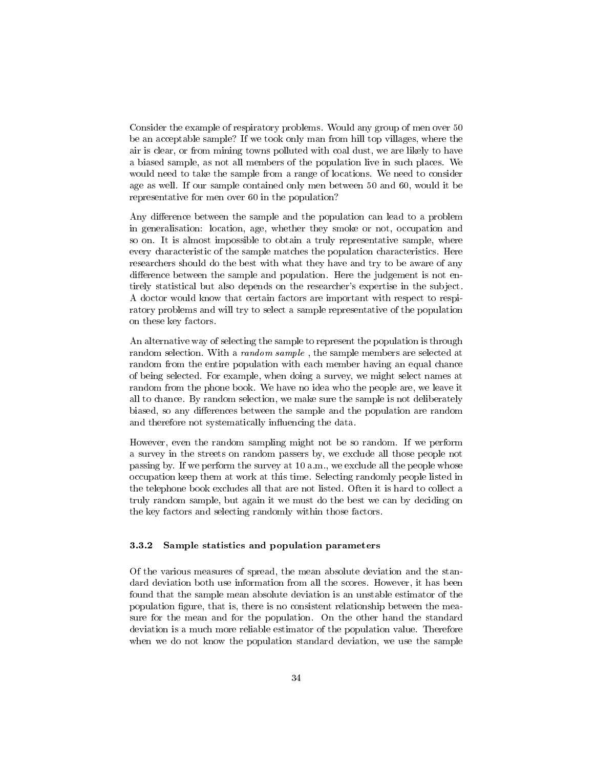<span id="page-34-1"></span>Consider the example of respiratory problems. Would any group of men over 50 be an acceptable sample? If we took only man from hill top villages, where the air is clear, or from mining towns polluted with coal dust, we are likely to have a biased sample, as not all members of the population live in such places. We would need to take the sample from a range of locations. We need to consider age as well. If our sample contained only men between 50 and 60, would it be representative for men over 60 in the population?

Any difference between the sample and the population can lead to a problem in generalisation: location, age, whether they smoke or not, occupation and so on. It is almost impossible to obtain a truly representative sample, where every characteristic of the sample matches the population characteristics. Here researchers should do the best with what they have and try to be aware of any difference between the sample and population. Here the judgement is not entirely statistical but also depends on the researcher's expertise in the subject. A doctor would know that certain factors are important with respect to respiratory problems and will try to select a sample representative of the population on these key factors.

An alternative way of selecting the sample to represent the population is through random selection. With a random sample , the sample members are selected at random from the entire population with each member having an equal chance of being selected. For example, when doing a survey, we might select names at random from the phone book. We have no idea who the people are, we leave it all to chance. By random selection, we make sure the sample is not deliberately biased, so any differences between the sample and the population are random and therefore not systematically influencing the data.

However, even the random sampling might not be so random. If we perform a survey in the streets on random passers by, we exclude all those people not passing by. If we perform the survey at 10 a.m., we exclude all the people whose occupation keep them at work at this time. Selecting randomly people listed in the telephone book excludes all that are not listed. Often it is hard to collect a truly random sample, but again it we must do the best we can by deciding on the key factors and selecting randomly within those factors.

#### <span id="page-34-0"></span>3.3.2 Sample statistics and population parameters

Of the various measures of spread, the mean absolute deviation and the standard deviation both use information from all the scores. However, it has been found that the sample mean absolute deviation is an unstable estimator of the population gure, that is, there is no consistent relationship between the measure for the mean and for the population. On the other hand the standard deviation is a much more reliable estimator of the population value. Therefore when we do not know the population standard deviation, we use the sample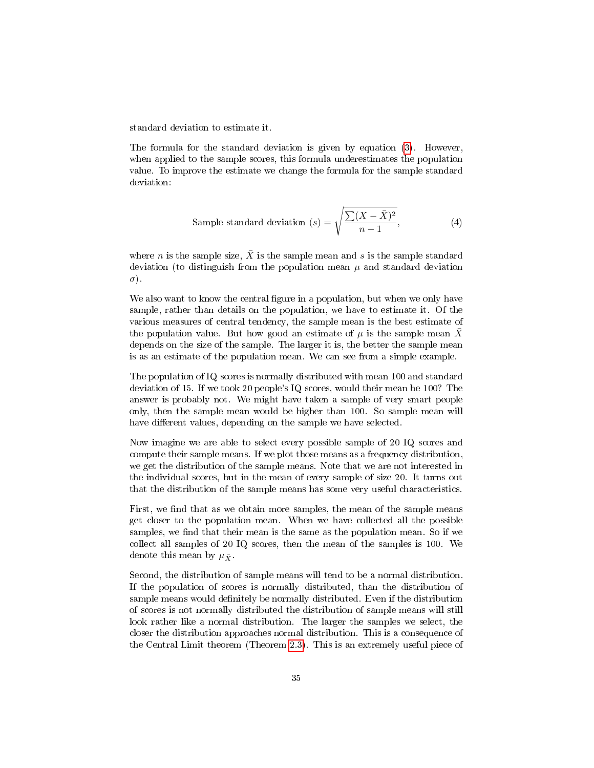standard deviation to estimate it.

The formula for the standard deviation is given by equation [\(3\)](#page-26-2). However, when applied to the sample scores, this formula underestimates the population value. To improve the estimate we change the formula for the sample standard deviation:

Sample standard deviation 
$$
(s) = \sqrt{\frac{\sum (X - \bar{X})^2}{n - 1}}
$$
, (4)

where *n* is the sample size,  $\overline{X}$  is the sample mean and *s* is the sample standard deviation (to distinguish from the population mean  $\mu$  and standard deviation σ).

We also want to know the central figure in a population, but when we only have sample, rather than details on the population, we have to estimate it. Of the various measures of central tendency, the sample mean is the best estimate of the population value. But how good an estimate of  $\mu$  is the sample mean X depends on the size of the sample. The larger it is, the better the sample mean is as an estimate of the population mean. We can see from a simple example.

The population of IQ scores is normally distributed with mean 100 and standard deviation of 15. If we took 20 people's IQ scores, would their mean be 100? The answer is probably not. We might have taken a sample of very smart people only, then the sample mean would be higher than 100. So sample mean will have different values, depending on the sample we have selected.

Now imagine we are able to select every possible sample of 20 IQ scores and compute their sample means. If we plot those means as a frequency distribution, we get the distribution of the sample means. Note that we are not interested in the individual scores, but in the mean of every sample of size 20. It turns out that the distribution of the sample means has some very useful characteristics.

First, we find that as we obtain more samples, the mean of the sample means get closer to the population mean. When we have collected all the possible samples, we find that their mean is the same as the population mean. So if we collect all samples of 20 IQ scores, then the mean of the samples is 100. We denote this mean by  $\mu_{\bar{X}}$ .

Second, the distribution of sample means will tend to be a normal distribution. If the population of scores is normally distributed, than the distribution of sample means would definitely be normally distributed. Even if the distribution of scores is not normally distributed the distribution of sample means will still look rather like a normal distribution. The larger the samples we select, the closer the distribution approaches normal distribution. This is a consequence of the Central Limit theorem (Theorem [2.3\)](#page-19-0). This is an extremely useful piece of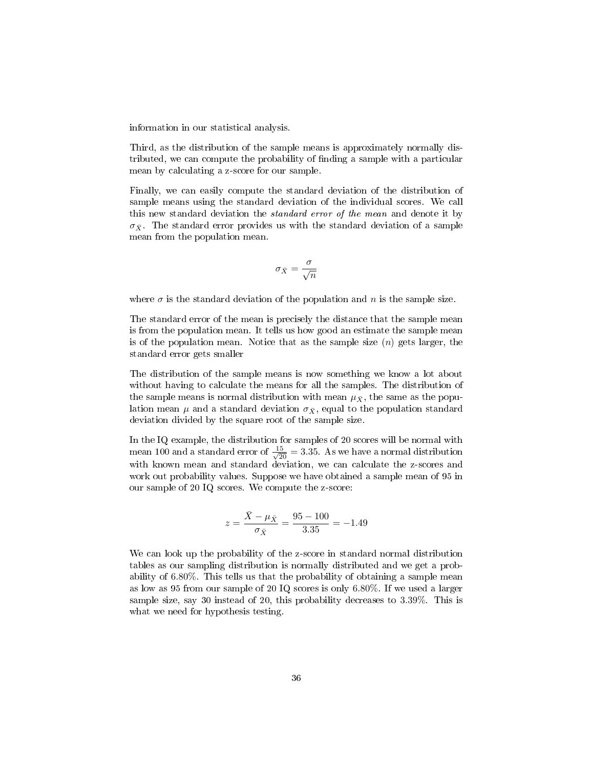<span id="page-36-0"></span>information in our statistical analysis.

Third, as the distribution of the sample means is approximately normally distributed, we can compute the probability of finding a sample with a particular mean by calculating a z-score for our sample.

Finally, we can easily compute the standard deviation of the distribution of sample means using the standard deviation of the individual scores. We call this new standard deviation the standard error of the mean and denote it by  $\sigma_{\bar{X}}$ . The standard error provides us with the standard deviation of a sample mean from the population mean.

$$
\sigma_{\bar{X}} = \frac{\sigma}{\sqrt{n}}
$$

where  $\sigma$  is the standard deviation of the population and n is the sample size.

The standard error of the mean is precisely the distance that the sample mean is from the population mean. It tells us how good an estimate the sample mean is of the population mean. Notice that as the sample size  $(n)$  gets larger, the standard error gets smaller

The distribution of the sample means is now something we know a lot about without having to calculate the means for all the samples. The distribution of the sample means is normal distribution with mean  $\mu_{\bar{X}}$ , the same as the population mean  $\mu$  and a standard deviation  $\sigma_{\bar{X}}$ , equal to the population standard deviation divided by the square root of the sample size.

In the IQ example, the distribution for samples of 20 scores will be normal with mean 100 and a standard error of  $\frac{15}{\sqrt{20}} = 3.35$ . As we have a normal distribution with known mean and standard deviation, we can calculate the z-scores and work out probability values. Suppose we have obtained a sample mean of 95 in our sample of 20 IQ scores. We compute the z-score:

$$
z = \frac{\bar{X} - \mu_{\bar{X}}}{\sigma_{\bar{X}}} = \frac{95 - 100}{3.35} = -1.49
$$

We can look up the probability of the z-score in standard normal distribution tables as our sampling distribution is normally distributed and we get a probability of 6.80%. This tells us that the probability of obtaining a sample mean as low as 95 from our sample of 20 IQ scores is only 6.80%. If we used a larger sample size, say 30 instead of 20, this probability decreases to 3.39%. This is what we need for hypothesis testing.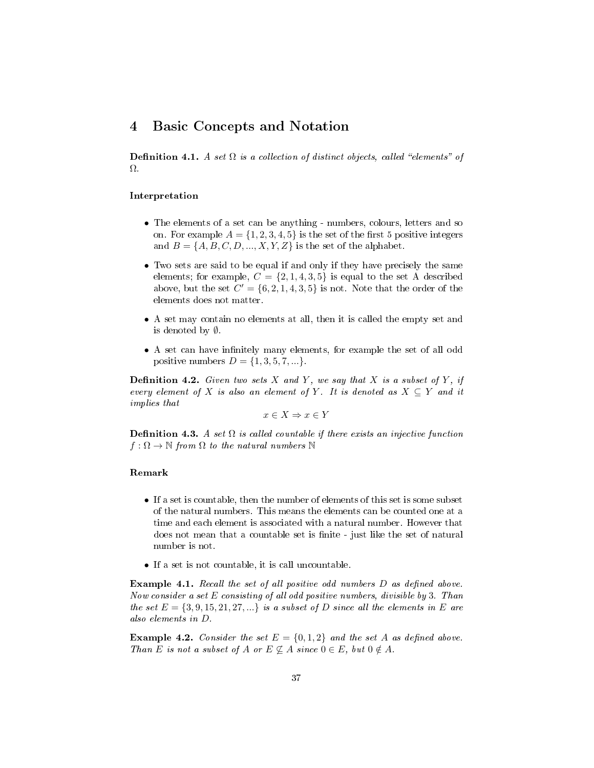## <span id="page-37-2"></span><span id="page-37-0"></span>4 Basic Concepts and Notation

**Definition 4.1.** A set  $\Omega$  is a collection of distinct objects, called "elements" of Ω.

#### Interpretation

- The elements of a set can be anything numbers, colours, letters and so on. For example  $A = \{1, 2, 3, 4, 5\}$  is the set of the first 5 positive integers and  $B = \{A, B, C, D, ..., X, Y, Z\}$  is the set of the alphabet.
- Two sets are said to be equal if and only if they have precisely the same elements; for example,  $C = \{2, 1, 4, 3, 5\}$  is equal to the set A described above, but the set  $C' = \{6, 2, 1, 4, 3, 5\}$  is not. Note that the order of the elements does not matter.
- A set may contain no elements at all, then it is called the empty set and is denoted by ∅.
- A set can have infinitely many elements, for example the set of all odd positive numbers  $D = \{1, 3, 5, 7, ...\}$ .

**Definition 4.2.** Given two sets X and Y, we say that X is a subset of Y, if every element of X is also an element of Y. It is denoted as  $X \subseteq Y$  and it implies that

$$
x \in X \Rightarrow x \in Y
$$

<span id="page-37-1"></span>**Definition 4.3.** A set  $\Omega$  is called countable if there exists an injective function  $f : \Omega \to \mathbb{N}$  from  $\Omega$  to the natural numbers  $\mathbb{N}$ 

#### Remark

- If a set is countable, then the number of elements of this set is some subset of the natural numbers. This means the elements can be counted one at a time and each element is associated with a natural number. However that does not mean that a countable set is finite - just like the set of natural number is not.
- If a set is not countable, it is call uncountable.

**Example 4.1.** Recall the set of all positive odd numbers  $D$  as defined above. Now consider a set E consisting of all odd positive numbers, divisible by 3. Than the set  $E = \{3, 9, 15, 21, 27, ...\}$  is a subset of D since all the elements in E are also elements in D.

**Example 4.2.** Consider the set  $E = \{0, 1, 2\}$  and the set A as defined above. Than E is not a subset of A or  $E \nsubseteq A$  since  $0 \in E$ , but  $0 \notin A$ .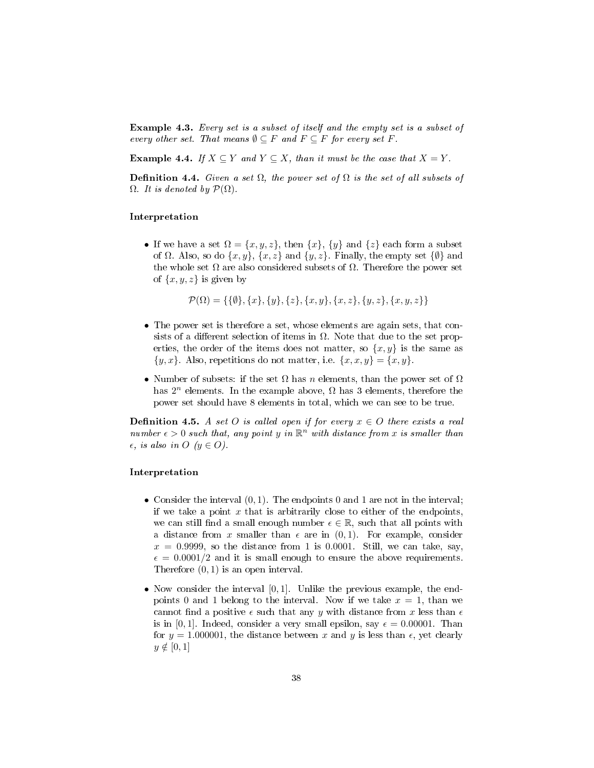<span id="page-38-1"></span>Example 4.3. Every set is a subset of itself and the empty set is a subset of every other set. That means  $\emptyset \subseteq F$  and  $F \subseteq F$  for every set F.

**Example 4.4.** If  $X \subseteq Y$  and  $Y \subseteq X$ , than it must be the case that  $X = Y$ .

<span id="page-38-0"></span>Definition 4.4. Given a set  $\Omega$ , the power set of  $\Omega$  is the set of all subsets of  $\Omega$ . It is denoted by  $\mathcal{P}(\Omega)$ .

#### Interpretation

• If we have a set  $\Omega = \{x, y, z\}$ , then  $\{x\}$ ,  $\{y\}$  and  $\{z\}$  each form a subset of  $\Omega$ . Also, so do  $\{x, y\}$ ,  $\{x, z\}$  and  $\{y, z\}$ . Finally, the empty set  $\{\emptyset\}$  and the whole set  $\Omega$  are also considered subsets of  $\Omega$ . Therefore the power set of  $\{x, y, z\}$  is given by

$$
\mathcal{P}(\Omega) = \{ \{\emptyset\}, \{x\}, \{y\}, \{z\}, \{x, y\}, \{x, z\}, \{y, z\}, \{x, y, z\} \}
$$

- The power set is therefore a set, whose elements are again sets, that consists of a different selection of items in  $\Omega$ . Note that due to the set properties, the order of the items does not matter, so  $\{x, y\}$  is the same as  $\{y, x\}$ . Also, repetitions do not matter, i.e.  $\{x, x, y\} = \{x, y\}.$
- Number of subsets: if the set  $\Omega$  has n elements, than the power set of  $\Omega$ has  $2^n$  elements. In the example above,  $\Omega$  has 3 elements, therefore the power set should have 8 elements in total, which we can see to be true.

**Definition 4.5.** A set O is called open if for every  $x \in O$  there exists a real number  $\epsilon > 0$  such that, any point y in  $\mathbb{R}^n$  with distance from x is smaller than  $\epsilon$ , is also in O  $(y \in O)$ .

#### Interpretation

- Consider the interval  $(0, 1)$ . The endpoints 0 and 1 are not in the interval; if we take a point  $x$  that is arbitrarily close to either of the endpoints, we can still find a small enough number  $\epsilon \in \mathbb{R}$ , such that all points with a distance from x smaller than  $\epsilon$  are in  $(0, 1)$ . For example, consider  $x = 0.9999$ , so the distance from 1 is 0.0001. Still, we can take, say,  $\epsilon = 0.0001/2$  and it is small enough to ensure the above requirements. Therefore  $(0, 1)$  is an open interval.
- Now consider the interval  $[0, 1]$ . Unlike the previous example, the endpoints 0 and 1 belong to the interval. Now if we take  $x = 1$ , than we cannot find a positive  $\epsilon$  such that any y with distance from x less than  $\epsilon$ is in [0, 1]. Indeed, consider a very small epsilon, say  $\epsilon = 0.00001$ . Than for  $y = 1.000001$ , the distance between x and y is less than  $\epsilon$ , yet clearly  $y \notin [0, 1]$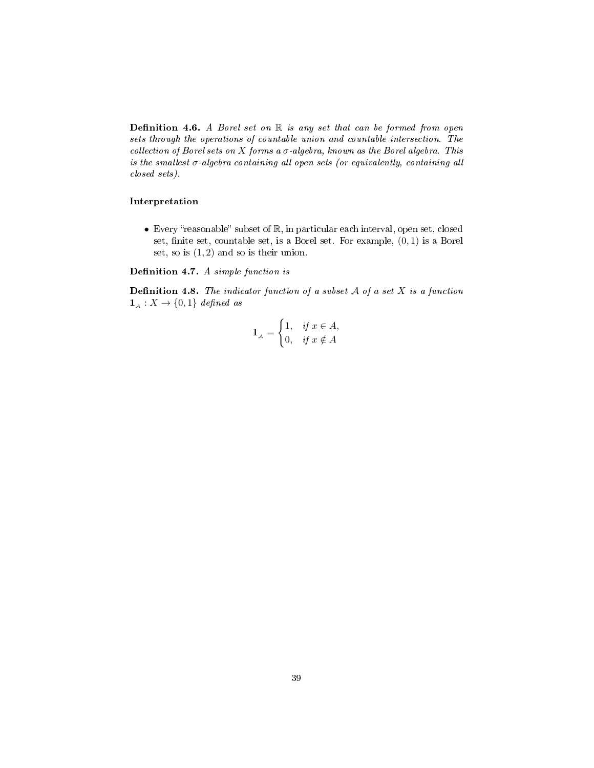<span id="page-39-2"></span><span id="page-39-0"></span>**Definition 4.6.** A Borel set on  $\mathbb R$  is any set that can be formed from open sets through the operations of countable union and countable intersection. The collection of Borel sets on X forms a  $\sigma$ -algebra, known as the Borel algebra. This is the smallest  $\sigma$ -algebra containing all open sets (or equivalently, containing all closed sets).

#### Interpretation

• Every "reasonable" subset of  $\mathbb R$ , in particular each interval, open set, closed set, finite set, countable set, is a Borel set. For example,  $(0, 1)$  is a Borel set, so is  $(1, 2)$  and so is their union.

Definition 4.7. A simple function is

<span id="page-39-1"></span>**Definition 4.8.** The indicator function of a subset  $A$  of a set  $X$  is a function  $\mathbf{1}_{\mathcal{A}} : X \to \{0,1\}$  defined as

$$
\mathbf{1}_{\scriptscriptstyle\mathcal{A}} = \begin{cases} 1, & \text{if } x \in A, \\ 0, & \text{if } x \notin A \end{cases}
$$